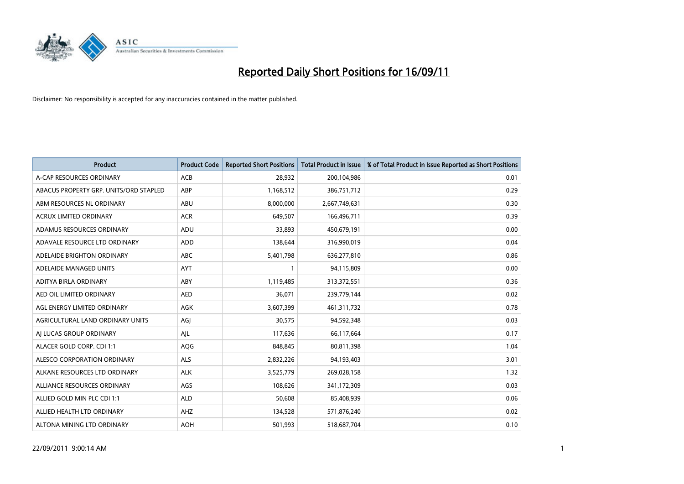

| <b>Product</b>                         | <b>Product Code</b> | <b>Reported Short Positions</b> | Total Product in Issue | % of Total Product in Issue Reported as Short Positions |
|----------------------------------------|---------------------|---------------------------------|------------------------|---------------------------------------------------------|
| A-CAP RESOURCES ORDINARY               | ACB                 | 28,932                          | 200,104,986            | 0.01                                                    |
| ABACUS PROPERTY GRP. UNITS/ORD STAPLED | ABP                 | 1,168,512                       | 386,751,712            | 0.29                                                    |
| ABM RESOURCES NL ORDINARY              | <b>ABU</b>          | 8,000,000                       | 2,667,749,631          | 0.30                                                    |
| ACRUX LIMITED ORDINARY                 | <b>ACR</b>          | 649,507                         | 166,496,711            | 0.39                                                    |
| ADAMUS RESOURCES ORDINARY              | ADU                 | 33.893                          | 450,679,191            | 0.00                                                    |
| ADAVALE RESOURCE LTD ORDINARY          | <b>ADD</b>          | 138,644                         | 316,990,019            | 0.04                                                    |
| ADELAIDE BRIGHTON ORDINARY             | <b>ABC</b>          | 5,401,798                       | 636,277,810            | 0.86                                                    |
| ADELAIDE MANAGED UNITS                 | <b>AYT</b>          |                                 | 94,115,809             | 0.00                                                    |
| ADITYA BIRLA ORDINARY                  | ABY                 | 1,119,485                       | 313,372,551            | 0.36                                                    |
| AED OIL LIMITED ORDINARY               | <b>AED</b>          | 36.071                          | 239,779,144            | 0.02                                                    |
| AGL ENERGY LIMITED ORDINARY            | <b>AGK</b>          | 3,607,399                       | 461,311,732            | 0.78                                                    |
| AGRICULTURAL LAND ORDINARY UNITS       | AGJ                 | 30,575                          | 94,592,348             | 0.03                                                    |
| AI LUCAS GROUP ORDINARY                | AJL                 | 117,636                         | 66,117,664             | 0.17                                                    |
| ALACER GOLD CORP. CDI 1:1              | AQG                 | 848.845                         | 80,811,398             | 1.04                                                    |
| ALESCO CORPORATION ORDINARY            | <b>ALS</b>          | 2,832,226                       | 94,193,403             | 3.01                                                    |
| ALKANE RESOURCES LTD ORDINARY          | <b>ALK</b>          | 3,525,779                       | 269,028,158            | 1.32                                                    |
| ALLIANCE RESOURCES ORDINARY            | AGS                 | 108,626                         | 341,172,309            | 0.03                                                    |
| ALLIED GOLD MIN PLC CDI 1:1            | <b>ALD</b>          | 50,608                          | 85,408,939             | 0.06                                                    |
| ALLIED HEALTH LTD ORDINARY             | AHZ                 | 134,528                         | 571,876,240            | 0.02                                                    |
| ALTONA MINING LTD ORDINARY             | <b>AOH</b>          | 501,993                         | 518,687,704            | 0.10                                                    |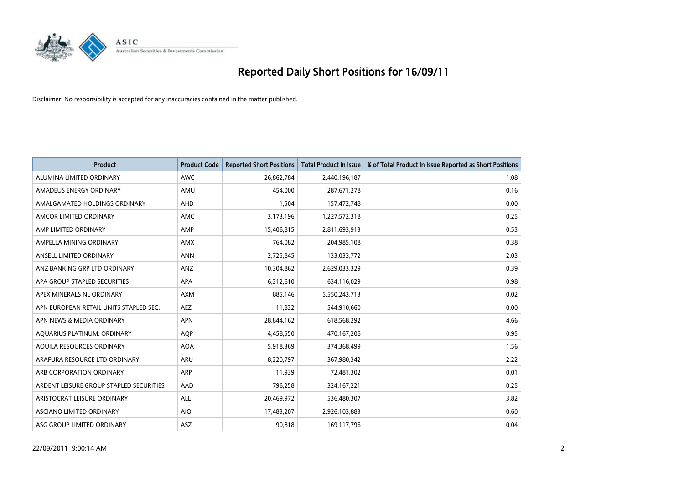

| <b>Product</b>                          | <b>Product Code</b> | <b>Reported Short Positions</b> | Total Product in Issue | % of Total Product in Issue Reported as Short Positions |
|-----------------------------------------|---------------------|---------------------------------|------------------------|---------------------------------------------------------|
| ALUMINA LIMITED ORDINARY                | <b>AWC</b>          | 26,862,784                      | 2,440,196,187          | 1.08                                                    |
| AMADEUS ENERGY ORDINARY                 | AMU                 | 454,000                         | 287,671,278            | 0.16                                                    |
| AMALGAMATED HOLDINGS ORDINARY           | <b>AHD</b>          | 1,504                           | 157,472,748            | 0.00                                                    |
| AMCOR LIMITED ORDINARY                  | <b>AMC</b>          | 3,173,196                       | 1,227,572,318          | 0.25                                                    |
| AMP LIMITED ORDINARY                    | AMP                 | 15,406,815                      | 2,811,693,913          | 0.53                                                    |
| AMPELLA MINING ORDINARY                 | <b>AMX</b>          | 764,082                         | 204,985,108            | 0.38                                                    |
| ANSELL LIMITED ORDINARY                 | <b>ANN</b>          | 2,725,845                       | 133,033,772            | 2.03                                                    |
| ANZ BANKING GRP LTD ORDINARY            | ANZ                 | 10,304,862                      | 2,629,033,329          | 0.39                                                    |
| APA GROUP STAPLED SECURITIES            | APA                 | 6,312,610                       | 634,116,029            | 0.98                                                    |
| APEX MINERALS NL ORDINARY               | <b>AXM</b>          | 885,146                         | 5,550,243,713          | 0.02                                                    |
| APN EUROPEAN RETAIL UNITS STAPLED SEC.  | <b>AEZ</b>          | 11,832                          | 544,910,660            | 0.00                                                    |
| APN NEWS & MEDIA ORDINARY               | <b>APN</b>          | 28,844,162                      | 618,568,292            | 4.66                                                    |
| AQUARIUS PLATINUM. ORDINARY             | <b>AOP</b>          | 4,458,550                       | 470,167,206            | 0.95                                                    |
| AQUILA RESOURCES ORDINARY               | <b>AQA</b>          | 5,918,369                       | 374,368,499            | 1.56                                                    |
| ARAFURA RESOURCE LTD ORDINARY           | <b>ARU</b>          | 8,220,797                       | 367,980,342            | 2.22                                                    |
| ARB CORPORATION ORDINARY                | ARP                 | 11.939                          | 72,481,302             | 0.01                                                    |
| ARDENT LEISURE GROUP STAPLED SECURITIES | AAD                 | 796,258                         | 324, 167, 221          | 0.25                                                    |
| ARISTOCRAT LEISURE ORDINARY             | ALL                 | 20,469,972                      | 536,480,307            | 3.82                                                    |
| ASCIANO LIMITED ORDINARY                | <b>AIO</b>          | 17,483,207                      | 2,926,103,883          | 0.60                                                    |
| ASG GROUP LIMITED ORDINARY              | <b>ASZ</b>          | 90,818                          | 169,117,796            | 0.04                                                    |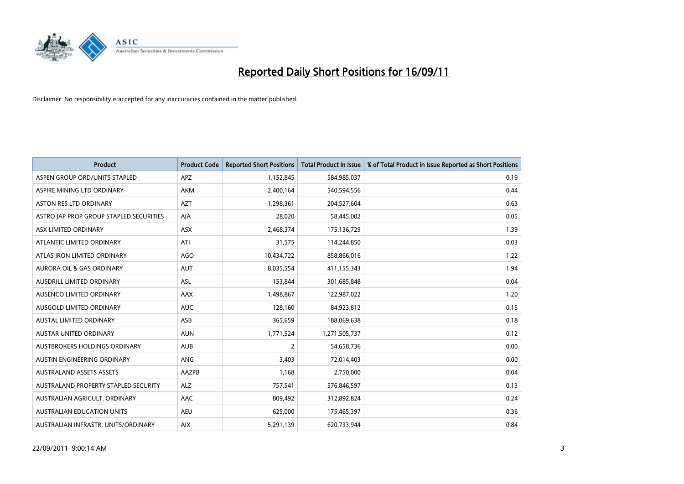

| <b>Product</b>                          | <b>Product Code</b> | <b>Reported Short Positions</b> | Total Product in Issue | % of Total Product in Issue Reported as Short Positions |
|-----------------------------------------|---------------------|---------------------------------|------------------------|---------------------------------------------------------|
| ASPEN GROUP ORD/UNITS STAPLED           | <b>APZ</b>          | 1,152,845                       | 584,985,037            | 0.19                                                    |
| ASPIRE MINING LTD ORDINARY              | <b>AKM</b>          | 2,400,164                       | 540,594,556            | 0.44                                                    |
| ASTON RES LTD ORDINARY                  | <b>AZT</b>          | 1,298,361                       | 204,527,604            | 0.63                                                    |
| ASTRO JAP PROP GROUP STAPLED SECURITIES | AJA                 | 28,020                          | 58,445,002             | 0.05                                                    |
| ASX LIMITED ORDINARY                    | <b>ASX</b>          | 2,468,374                       | 175,136,729            | 1.39                                                    |
| ATLANTIC LIMITED ORDINARY               | ATI                 | 31,575                          | 114,244,850            | 0.03                                                    |
| ATLAS IRON LIMITED ORDINARY             | <b>AGO</b>          | 10,434,722                      | 858,866,016            | 1.22                                                    |
| <b>AURORA OIL &amp; GAS ORDINARY</b>    | <b>AUT</b>          | 8,035,554                       | 411,155,343            | 1.94                                                    |
| AUSDRILL LIMITED ORDINARY               | ASL                 | 153,844                         | 301,685,848            | 0.04                                                    |
| AUSENCO LIMITED ORDINARY                | <b>AAX</b>          | 1,498,867                       | 122,987,022            | 1.20                                                    |
| AUSGOLD LIMITED ORDINARY                | <b>AUC</b>          | 128,160                         | 84,923,812             | 0.15                                                    |
| <b>AUSTAL LIMITED ORDINARY</b>          | ASB                 | 365,659                         | 188,069,638            | 0.18                                                    |
| <b>AUSTAR UNITED ORDINARY</b>           | <b>AUN</b>          | 1,771,524                       | 1,271,505,737          | 0.12                                                    |
| AUSTBROKERS HOLDINGS ORDINARY           | <b>AUB</b>          | $\overline{2}$                  | 54,658,736             | 0.00                                                    |
| AUSTIN ENGINEERING ORDINARY             | <b>ANG</b>          | 3,403                           | 72,014,403             | 0.00                                                    |
| <b>AUSTRALAND ASSETS ASSETS</b>         | AAZPB               | 1,168                           | 2,750,000              | 0.04                                                    |
| AUSTRALAND PROPERTY STAPLED SECURITY    | <b>ALZ</b>          | 757,541                         | 576,846,597            | 0.13                                                    |
| AUSTRALIAN AGRICULT. ORDINARY           | AAC                 | 809,492                         | 312,892,824            | 0.24                                                    |
| <b>AUSTRALIAN EDUCATION UNITS</b>       | <b>AEU</b>          | 625,000                         | 175,465,397            | 0.36                                                    |
| AUSTRALIAN INFRASTR, UNITS/ORDINARY     | <b>AIX</b>          | 5,291,139                       | 620,733,944            | 0.84                                                    |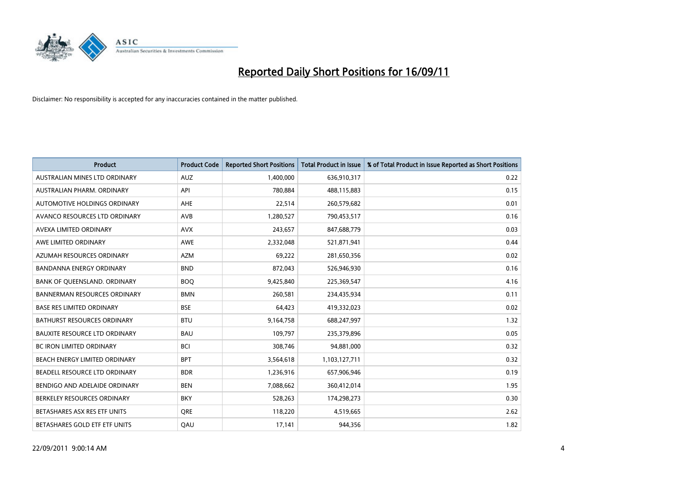

| <b>Product</b>                       | <b>Product Code</b> | <b>Reported Short Positions</b> | <b>Total Product in Issue</b> | % of Total Product in Issue Reported as Short Positions |
|--------------------------------------|---------------------|---------------------------------|-------------------------------|---------------------------------------------------------|
| AUSTRALIAN MINES LTD ORDINARY        | <b>AUZ</b>          | 1,400,000                       | 636,910,317                   | 0.22                                                    |
| AUSTRALIAN PHARM. ORDINARY           | API                 | 780,884                         | 488,115,883                   | 0.15                                                    |
| AUTOMOTIVE HOLDINGS ORDINARY         | AHE                 | 22,514                          | 260,579,682                   | 0.01                                                    |
| AVANCO RESOURCES LTD ORDINARY        | AVB                 | 1,280,527                       | 790,453,517                   | 0.16                                                    |
| AVEXA LIMITED ORDINARY               | <b>AVX</b>          | 243,657                         | 847,688,779                   | 0.03                                                    |
| AWE LIMITED ORDINARY                 | <b>AWE</b>          | 2,332,048                       | 521,871,941                   | 0.44                                                    |
| AZUMAH RESOURCES ORDINARY            | <b>AZM</b>          | 69,222                          | 281,650,356                   | 0.02                                                    |
| <b>BANDANNA ENERGY ORDINARY</b>      | <b>BND</b>          | 872,043                         | 526,946,930                   | 0.16                                                    |
| BANK OF QUEENSLAND. ORDINARY         | <b>BOQ</b>          | 9,425,840                       | 225,369,547                   | 4.16                                                    |
| <b>BANNERMAN RESOURCES ORDINARY</b>  | <b>BMN</b>          | 260,581                         | 234,435,934                   | 0.11                                                    |
| <b>BASE RES LIMITED ORDINARY</b>     | <b>BSE</b>          | 64,423                          | 419,332,023                   | 0.02                                                    |
| <b>BATHURST RESOURCES ORDINARY</b>   | <b>BTU</b>          | 9,164,758                       | 688,247,997                   | 1.32                                                    |
| <b>BAUXITE RESOURCE LTD ORDINARY</b> | <b>BAU</b>          | 109,797                         | 235,379,896                   | 0.05                                                    |
| <b>BC IRON LIMITED ORDINARY</b>      | <b>BCI</b>          | 308,746                         | 94,881,000                    | 0.32                                                    |
| <b>BEACH ENERGY LIMITED ORDINARY</b> | <b>BPT</b>          | 3,564,618                       | 1,103,127,711                 | 0.32                                                    |
| BEADELL RESOURCE LTD ORDINARY        | <b>BDR</b>          | 1,236,916                       | 657,906,946                   | 0.19                                                    |
| BENDIGO AND ADELAIDE ORDINARY        | <b>BEN</b>          | 7,088,662                       | 360,412,014                   | 1.95                                                    |
| BERKELEY RESOURCES ORDINARY          | <b>BKY</b>          | 528,263                         | 174,298,273                   | 0.30                                                    |
| BETASHARES ASX RES ETF UNITS         | <b>ORE</b>          | 118,220                         | 4,519,665                     | 2.62                                                    |
| BETASHARES GOLD ETF ETF UNITS        | QAU                 | 17,141                          | 944,356                       | 1.82                                                    |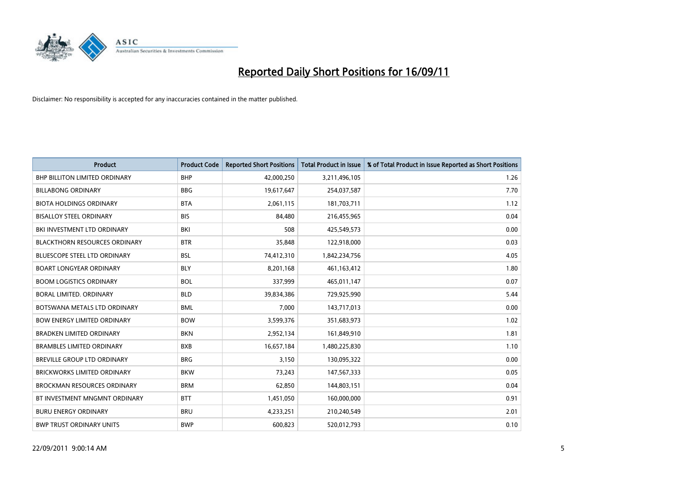

| <b>Product</b>                       | <b>Product Code</b> | <b>Reported Short Positions</b> | Total Product in Issue | % of Total Product in Issue Reported as Short Positions |
|--------------------------------------|---------------------|---------------------------------|------------------------|---------------------------------------------------------|
| <b>BHP BILLITON LIMITED ORDINARY</b> | <b>BHP</b>          | 42,000,250                      | 3,211,496,105          | 1.26                                                    |
| <b>BILLABONG ORDINARY</b>            | <b>BBG</b>          | 19,617,647                      | 254,037,587            | 7.70                                                    |
| <b>BIOTA HOLDINGS ORDINARY</b>       | <b>BTA</b>          | 2,061,115                       | 181,703,711            | 1.12                                                    |
| <b>BISALLOY STEEL ORDINARY</b>       | <b>BIS</b>          | 84,480                          | 216,455,965            | 0.04                                                    |
| BKI INVESTMENT LTD ORDINARY          | <b>BKI</b>          | 508                             | 425,549,573            | 0.00                                                    |
| <b>BLACKTHORN RESOURCES ORDINARY</b> | <b>BTR</b>          | 35,848                          | 122,918,000            | 0.03                                                    |
| <b>BLUESCOPE STEEL LTD ORDINARY</b>  | <b>BSL</b>          | 74,412,310                      | 1,842,234,756          | 4.05                                                    |
| <b>BOART LONGYEAR ORDINARY</b>       | <b>BLY</b>          | 8,201,168                       | 461,163,412            | 1.80                                                    |
| <b>BOOM LOGISTICS ORDINARY</b>       | <b>BOL</b>          | 337,999                         | 465,011,147            | 0.07                                                    |
| <b>BORAL LIMITED, ORDINARY</b>       | <b>BLD</b>          | 39,834,386                      | 729,925,990            | 5.44                                                    |
| BOTSWANA METALS LTD ORDINARY         | <b>BML</b>          | 7,000                           | 143,717,013            | 0.00                                                    |
| <b>BOW ENERGY LIMITED ORDINARY</b>   | <b>BOW</b>          | 3,599,376                       | 351,683,973            | 1.02                                                    |
| <b>BRADKEN LIMITED ORDINARY</b>      | <b>BKN</b>          | 2,952,134                       | 161,849,910            | 1.81                                                    |
| <b>BRAMBLES LIMITED ORDINARY</b>     | <b>BXB</b>          | 16,657,184                      | 1,480,225,830          | 1.10                                                    |
| BREVILLE GROUP LTD ORDINARY          | <b>BRG</b>          | 3,150                           | 130,095,322            | 0.00                                                    |
| BRICKWORKS LIMITED ORDINARY          | <b>BKW</b>          | 73,243                          | 147,567,333            | 0.05                                                    |
| <b>BROCKMAN RESOURCES ORDINARY</b>   | <b>BRM</b>          | 62,850                          | 144,803,151            | 0.04                                                    |
| BT INVESTMENT MNGMNT ORDINARY        | <b>BTT</b>          | 1,451,050                       | 160,000,000            | 0.91                                                    |
| <b>BURU ENERGY ORDINARY</b>          | <b>BRU</b>          | 4,233,251                       | 210,240,549            | 2.01                                                    |
| <b>BWP TRUST ORDINARY UNITS</b>      | <b>BWP</b>          | 600.823                         | 520,012,793            | 0.10                                                    |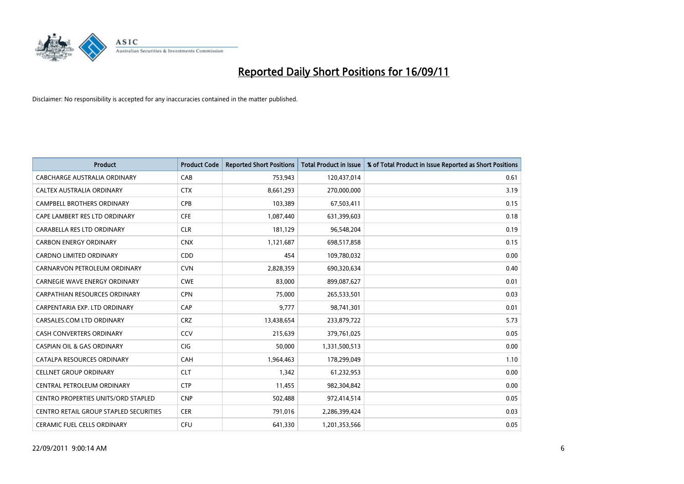

| <b>Product</b>                                | <b>Product Code</b> | <b>Reported Short Positions</b> | <b>Total Product in Issue</b> | % of Total Product in Issue Reported as Short Positions |
|-----------------------------------------------|---------------------|---------------------------------|-------------------------------|---------------------------------------------------------|
| CABCHARGE AUSTRALIA ORDINARY                  | CAB                 | 753,943                         | 120,437,014                   | 0.61                                                    |
| CALTEX AUSTRALIA ORDINARY                     | <b>CTX</b>          | 8,661,293                       | 270,000,000                   | 3.19                                                    |
| <b>CAMPBELL BROTHERS ORDINARY</b>             | <b>CPB</b>          | 103,389                         | 67,503,411                    | 0.15                                                    |
| CAPE LAMBERT RES LTD ORDINARY                 | <b>CFE</b>          | 1,087,440                       | 631,399,603                   | 0.18                                                    |
| CARABELLA RES LTD ORDINARY                    | <b>CLR</b>          | 181,129                         | 96,548,204                    | 0.19                                                    |
| <b>CARBON ENERGY ORDINARY</b>                 | <b>CNX</b>          | 1,121,687                       | 698,517,858                   | 0.15                                                    |
| <b>CARDNO LIMITED ORDINARY</b>                | CDD                 | 454                             | 109,780,032                   | 0.00                                                    |
| CARNARVON PETROLEUM ORDINARY                  | <b>CVN</b>          | 2,828,359                       | 690,320,634                   | 0.40                                                    |
| CARNEGIE WAVE ENERGY ORDINARY                 | <b>CWE</b>          | 83,000                          | 899,087,627                   | 0.01                                                    |
| <b>CARPATHIAN RESOURCES ORDINARY</b>          | <b>CPN</b>          | 75,000                          | 265,533,501                   | 0.03                                                    |
| CARPENTARIA EXP. LTD ORDINARY                 | CAP                 | 9,777                           | 98,741,301                    | 0.01                                                    |
| CARSALES.COM LTD ORDINARY                     | <b>CRZ</b>          | 13,438,654                      | 233,879,722                   | 5.73                                                    |
| <b>CASH CONVERTERS ORDINARY</b>               | CCV                 | 215,639                         | 379,761,025                   | 0.05                                                    |
| <b>CASPIAN OIL &amp; GAS ORDINARY</b>         | <b>CIG</b>          | 50,000                          | 1,331,500,513                 | 0.00                                                    |
| CATALPA RESOURCES ORDINARY                    | CAH                 | 1,964,463                       | 178,299,049                   | 1.10                                                    |
| <b>CELLNET GROUP ORDINARY</b>                 | <b>CLT</b>          | 1,342                           | 61,232,953                    | 0.00                                                    |
| CENTRAL PETROLEUM ORDINARY                    | <b>CTP</b>          | 11,455                          | 982,304,842                   | 0.00                                                    |
| <b>CENTRO PROPERTIES UNITS/ORD STAPLED</b>    | <b>CNP</b>          | 502,488                         | 972,414,514                   | 0.05                                                    |
| <b>CENTRO RETAIL GROUP STAPLED SECURITIES</b> | <b>CER</b>          | 791,016                         | 2,286,399,424                 | 0.03                                                    |
| <b>CERAMIC FUEL CELLS ORDINARY</b>            | <b>CFU</b>          | 641,330                         | 1,201,353,566                 | 0.05                                                    |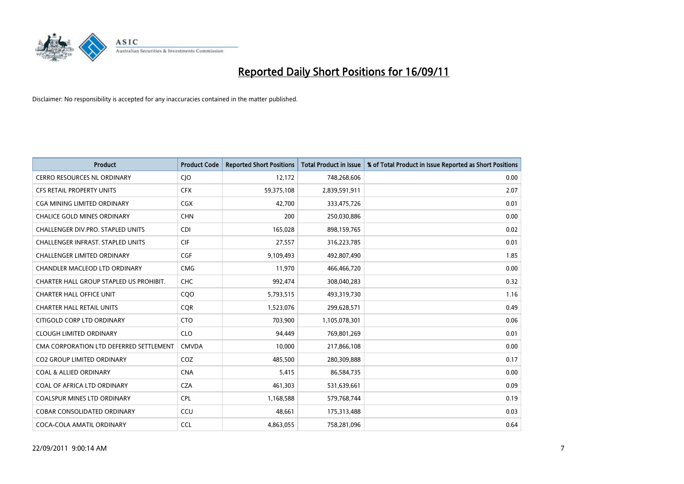

| <b>Product</b>                           | <b>Product Code</b> | <b>Reported Short Positions</b> | Total Product in Issue | % of Total Product in Issue Reported as Short Positions |
|------------------------------------------|---------------------|---------------------------------|------------------------|---------------------------------------------------------|
| <b>CERRO RESOURCES NL ORDINARY</b>       | CJO                 | 12,172                          | 748,268,606            | 0.00                                                    |
| CFS RETAIL PROPERTY UNITS                | <b>CFX</b>          | 59,375,108                      | 2,839,591,911          | 2.07                                                    |
| <b>CGA MINING LIMITED ORDINARY</b>       | <b>CGX</b>          | 42,700                          | 333,475,726            | 0.01                                                    |
| CHALICE GOLD MINES ORDINARY              | <b>CHN</b>          | 200                             | 250,030,886            | 0.00                                                    |
| CHALLENGER DIV.PRO. STAPLED UNITS        | CDI                 | 165,028                         | 898,159,765            | 0.02                                                    |
| <b>CHALLENGER INFRAST, STAPLED UNITS</b> | <b>CIF</b>          | 27,557                          | 316,223,785            | 0.01                                                    |
| <b>CHALLENGER LIMITED ORDINARY</b>       | <b>CGF</b>          | 9,109,493                       | 492,807,490            | 1.85                                                    |
| <b>CHANDLER MACLEOD LTD ORDINARY</b>     | <b>CMG</b>          | 11,970                          | 466,466,720            | 0.00                                                    |
| CHARTER HALL GROUP STAPLED US PROHIBIT.  | <b>CHC</b>          | 992,474                         | 308,040,283            | 0.32                                                    |
| <b>CHARTER HALL OFFICE UNIT</b>          | COO                 | 5,793,515                       | 493,319,730            | 1.16                                                    |
| <b>CHARTER HALL RETAIL UNITS</b>         | <b>COR</b>          | 1,523,076                       | 299,628,571            | 0.49                                                    |
| CITIGOLD CORP LTD ORDINARY               | <b>CTO</b>          | 703,900                         | 1,105,078,301          | 0.06                                                    |
| <b>CLOUGH LIMITED ORDINARY</b>           | <b>CLO</b>          | 94,449                          | 769,801,269            | 0.01                                                    |
| CMA CORPORATION LTD DEFERRED SETTLEMENT  | <b>CMVDA</b>        | 10,000                          | 217,866,108            | 0.00                                                    |
| <b>CO2 GROUP LIMITED ORDINARY</b>        | COZ                 | 485,500                         | 280,309,888            | 0.17                                                    |
| <b>COAL &amp; ALLIED ORDINARY</b>        | <b>CNA</b>          | 5,415                           | 86,584,735             | 0.00                                                    |
| COAL OF AFRICA LTD ORDINARY              | <b>CZA</b>          | 461,303                         | 531,639,661            | 0.09                                                    |
| COALSPUR MINES LTD ORDINARY              | <b>CPL</b>          | 1,168,588                       | 579,768,744            | 0.19                                                    |
| <b>COBAR CONSOLIDATED ORDINARY</b>       | CCU                 | 48,661                          | 175,313,488            | 0.03                                                    |
| COCA-COLA AMATIL ORDINARY                | <b>CCL</b>          | 4,863,055                       | 758,281,096            | 0.64                                                    |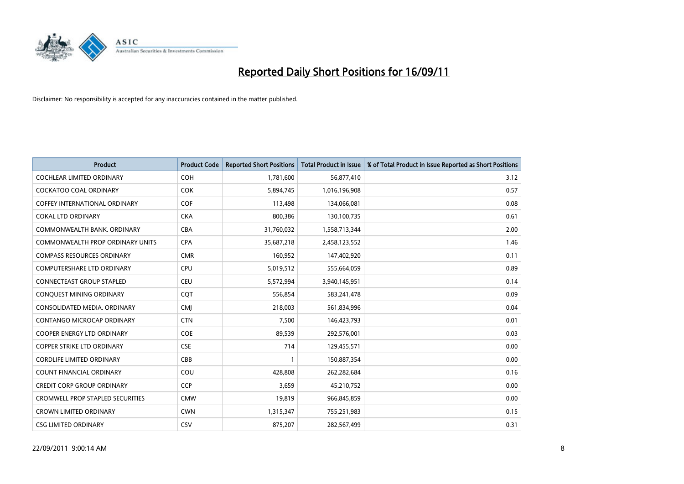

| <b>Product</b>                          | <b>Product Code</b> | <b>Reported Short Positions</b> | Total Product in Issue | % of Total Product in Issue Reported as Short Positions |
|-----------------------------------------|---------------------|---------------------------------|------------------------|---------------------------------------------------------|
| <b>COCHLEAR LIMITED ORDINARY</b>        | <b>COH</b>          | 1,781,600                       | 56,877,410             | 3.12                                                    |
| <b>COCKATOO COAL ORDINARY</b>           | <b>COK</b>          | 5,894,745                       | 1,016,196,908          | 0.57                                                    |
| <b>COFFEY INTERNATIONAL ORDINARY</b>    | <b>COF</b>          | 113,498                         | 134,066,081            | 0.08                                                    |
| <b>COKAL LTD ORDINARY</b>               | <b>CKA</b>          | 800,386                         | 130,100,735            | 0.61                                                    |
| COMMONWEALTH BANK, ORDINARY             | <b>CBA</b>          | 31,760,032                      | 1,558,713,344          | 2.00                                                    |
| <b>COMMONWEALTH PROP ORDINARY UNITS</b> | <b>CPA</b>          | 35,687,218                      | 2,458,123,552          | 1.46                                                    |
| <b>COMPASS RESOURCES ORDINARY</b>       | <b>CMR</b>          | 160.952                         | 147,402,920            | 0.11                                                    |
| <b>COMPUTERSHARE LTD ORDINARY</b>       | <b>CPU</b>          | 5,019,512                       | 555,664,059            | 0.89                                                    |
| <b>CONNECTEAST GROUP STAPLED</b>        | <b>CEU</b>          | 5,572,994                       | 3,940,145,951          | 0.14                                                    |
| CONQUEST MINING ORDINARY                | <b>COT</b>          | 556,854                         | 583,241,478            | 0.09                                                    |
| CONSOLIDATED MEDIA, ORDINARY            | <b>CMI</b>          | 218,003                         | 561,834,996            | 0.04                                                    |
| CONTANGO MICROCAP ORDINARY              | <b>CTN</b>          | 7,500                           | 146,423,793            | 0.01                                                    |
| <b>COOPER ENERGY LTD ORDINARY</b>       | <b>COE</b>          | 89.539                          | 292,576,001            | 0.03                                                    |
| <b>COPPER STRIKE LTD ORDINARY</b>       | <b>CSE</b>          | 714                             | 129,455,571            | 0.00                                                    |
| <b>CORDLIFE LIMITED ORDINARY</b>        | CBB                 |                                 | 150,887,354            | 0.00                                                    |
| <b>COUNT FINANCIAL ORDINARY</b>         | COU                 | 428.808                         | 262,282,684            | 0.16                                                    |
| <b>CREDIT CORP GROUP ORDINARY</b>       | <b>CCP</b>          | 3,659                           | 45,210,752             | 0.00                                                    |
| <b>CROMWELL PROP STAPLED SECURITIES</b> | <b>CMW</b>          | 19,819                          | 966,845,859            | 0.00                                                    |
| <b>CROWN LIMITED ORDINARY</b>           | <b>CWN</b>          | 1,315,347                       | 755,251,983            | 0.15                                                    |
| <b>CSG LIMITED ORDINARY</b>             | CSV                 | 875.207                         | 282,567,499            | 0.31                                                    |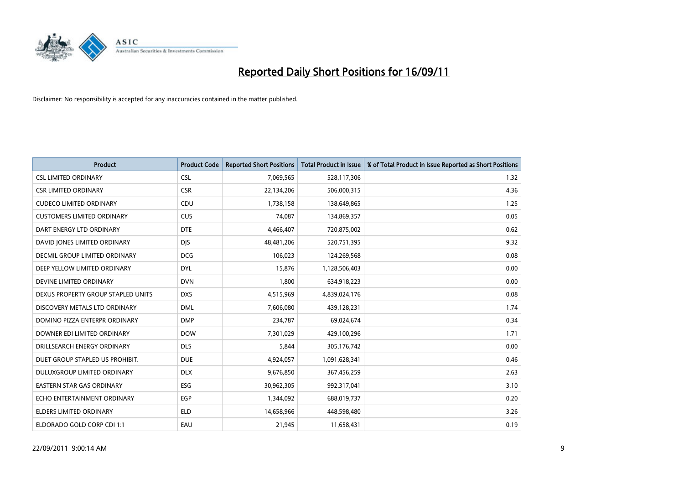

| <b>Product</b>                     | <b>Product Code</b> | <b>Reported Short Positions</b> | Total Product in Issue | % of Total Product in Issue Reported as Short Positions |
|------------------------------------|---------------------|---------------------------------|------------------------|---------------------------------------------------------|
| <b>CSL LIMITED ORDINARY</b>        | <b>CSL</b>          | 7,069,565                       | 528,117,306            | 1.32                                                    |
| <b>CSR LIMITED ORDINARY</b>        | <b>CSR</b>          | 22,134,206                      | 506,000,315            | 4.36                                                    |
| <b>CUDECO LIMITED ORDINARY</b>     | CDU                 | 1,738,158                       | 138,649,865            | 1.25                                                    |
| <b>CUSTOMERS LIMITED ORDINARY</b>  | <b>CUS</b>          | 74,087                          | 134,869,357            | 0.05                                                    |
| DART ENERGY LTD ORDINARY           | <b>DTE</b>          | 4,466,407                       | 720,875,002            | 0.62                                                    |
| DAVID JONES LIMITED ORDINARY       | <b>DJS</b>          | 48,481,206                      | 520,751,395            | 9.32                                                    |
| DECMIL GROUP LIMITED ORDINARY      | <b>DCG</b>          | 106,023                         | 124,269,568            | 0.08                                                    |
| DEEP YELLOW LIMITED ORDINARY       | <b>DYL</b>          | 15,876                          | 1,128,506,403          | 0.00                                                    |
| DEVINE LIMITED ORDINARY            | <b>DVN</b>          | 1,800                           | 634,918,223            | 0.00                                                    |
| DEXUS PROPERTY GROUP STAPLED UNITS | <b>DXS</b>          | 4,515,969                       | 4,839,024,176          | 0.08                                                    |
| DISCOVERY METALS LTD ORDINARY      | <b>DML</b>          | 7,606,080                       | 439,128,231            | 1.74                                                    |
| DOMINO PIZZA ENTERPR ORDINARY      | <b>DMP</b>          | 234,787                         | 69,024,674             | 0.34                                                    |
| DOWNER EDI LIMITED ORDINARY        | <b>DOW</b>          | 7,301,029                       | 429,100,296            | 1.71                                                    |
| DRILLSEARCH ENERGY ORDINARY        | <b>DLS</b>          | 5,844                           | 305,176,742            | 0.00                                                    |
| DUET GROUP STAPLED US PROHIBIT.    | <b>DUE</b>          | 4,924,057                       | 1,091,628,341          | 0.46                                                    |
| DULUXGROUP LIMITED ORDINARY        | <b>DLX</b>          | 9,676,850                       | 367,456,259            | 2.63                                                    |
| <b>EASTERN STAR GAS ORDINARY</b>   | <b>ESG</b>          | 30,962,305                      | 992,317,041            | 3.10                                                    |
| ECHO ENTERTAINMENT ORDINARY        | <b>EGP</b>          | 1,344,092                       | 688,019,737            | 0.20                                                    |
| <b>ELDERS LIMITED ORDINARY</b>     | <b>ELD</b>          | 14,658,966                      | 448,598,480            | 3.26                                                    |
| ELDORADO GOLD CORP CDI 1:1         | EAU                 | 21,945                          | 11,658,431             | 0.19                                                    |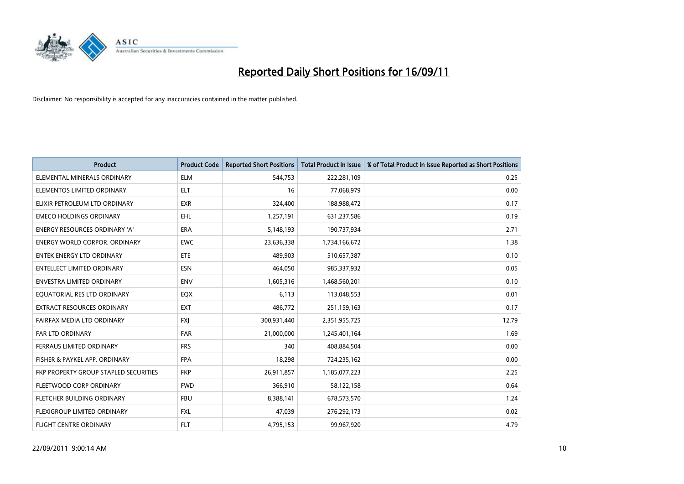

| <b>Product</b>                        | <b>Product Code</b> | <b>Reported Short Positions</b> | Total Product in Issue | % of Total Product in Issue Reported as Short Positions |
|---------------------------------------|---------------------|---------------------------------|------------------------|---------------------------------------------------------|
| ELEMENTAL MINERALS ORDINARY           | <b>ELM</b>          | 544,753                         | 222,281,109            | 0.25                                                    |
| ELEMENTOS LIMITED ORDINARY            | <b>ELT</b>          | 16                              | 77,068,979             | 0.00                                                    |
| ELIXIR PETROLEUM LTD ORDINARY         | <b>EXR</b>          | 324,400                         | 188,988,472            | 0.17                                                    |
| <b>EMECO HOLDINGS ORDINARY</b>        | <b>EHL</b>          | 1,257,191                       | 631,237,586            | 0.19                                                    |
| <b>ENERGY RESOURCES ORDINARY 'A'</b>  | <b>ERA</b>          | 5,148,193                       | 190,737,934            | 2.71                                                    |
| <b>ENERGY WORLD CORPOR, ORDINARY</b>  | <b>EWC</b>          | 23,636,338                      | 1,734,166,672          | 1.38                                                    |
| <b>ENTEK ENERGY LTD ORDINARY</b>      | <b>ETE</b>          | 489.903                         | 510,657,387            | 0.10                                                    |
| <b>ENTELLECT LIMITED ORDINARY</b>     | <b>ESN</b>          | 464,050                         | 985,337,932            | 0.05                                                    |
| <b>ENVESTRA LIMITED ORDINARY</b>      | <b>ENV</b>          | 1,605,316                       | 1,468,560,201          | 0.10                                                    |
| EOUATORIAL RES LTD ORDINARY           | EQX                 | 6.113                           | 113,048,553            | 0.01                                                    |
| <b>EXTRACT RESOURCES ORDINARY</b>     | <b>EXT</b>          | 486,772                         | 251,159,163            | 0.17                                                    |
| FAIRFAX MEDIA LTD ORDINARY            | <b>FXJ</b>          | 300,931,440                     | 2,351,955,725          | 12.79                                                   |
| <b>FAR LTD ORDINARY</b>               | FAR                 | 21,000,000                      | 1,245,401,164          | 1.69                                                    |
| FERRAUS LIMITED ORDINARY              | <b>FRS</b>          | 340                             | 408,884,504            | 0.00                                                    |
| FISHER & PAYKEL APP. ORDINARY         | <b>FPA</b>          | 18,298                          | 724,235,162            | 0.00                                                    |
| FKP PROPERTY GROUP STAPLED SECURITIES | <b>FKP</b>          | 26,911,857                      | 1,185,077,223          | 2.25                                                    |
| FLEETWOOD CORP ORDINARY               | <b>FWD</b>          | 366,910                         | 58,122,158             | 0.64                                                    |
| FLETCHER BUILDING ORDINARY            | <b>FBU</b>          | 8,388,141                       | 678,573,570            | 1.24                                                    |
| FLEXIGROUP LIMITED ORDINARY           | <b>FXL</b>          | 47,039                          | 276,292,173            | 0.02                                                    |
| <b>FLIGHT CENTRE ORDINARY</b>         | <b>FLT</b>          | 4,795,153                       | 99,967,920             | 4.79                                                    |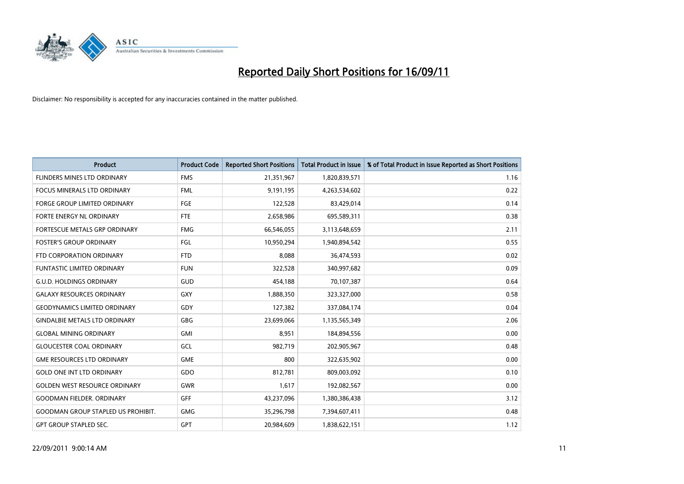

| <b>Product</b>                            | <b>Product Code</b> | <b>Reported Short Positions</b> | Total Product in Issue | % of Total Product in Issue Reported as Short Positions |
|-------------------------------------------|---------------------|---------------------------------|------------------------|---------------------------------------------------------|
| FLINDERS MINES LTD ORDINARY               | <b>FMS</b>          | 21,351,967                      | 1,820,839,571          | 1.16                                                    |
| <b>FOCUS MINERALS LTD ORDINARY</b>        | <b>FML</b>          | 9,191,195                       | 4,263,534,602          | 0.22                                                    |
| <b>FORGE GROUP LIMITED ORDINARY</b>       | <b>FGE</b>          | 122,528                         | 83,429,014             | 0.14                                                    |
| FORTE ENERGY NL ORDINARY                  | <b>FTE</b>          | 2,658,986                       | 695,589,311            | 0.38                                                    |
| FORTESCUE METALS GRP ORDINARY             | <b>FMG</b>          | 66,546,055                      | 3,113,648,659          | 2.11                                                    |
| <b>FOSTER'S GROUP ORDINARY</b>            | FGL                 | 10,950,294                      | 1,940,894,542          | 0.55                                                    |
| FTD CORPORATION ORDINARY                  | <b>FTD</b>          | 8.088                           | 36,474,593             | 0.02                                                    |
| <b>FUNTASTIC LIMITED ORDINARY</b>         | <b>FUN</b>          | 322,528                         | 340,997,682            | 0.09                                                    |
| <b>G.U.D. HOLDINGS ORDINARY</b>           | GUD                 | 454,188                         | 70,107,387             | 0.64                                                    |
| <b>GALAXY RESOURCES ORDINARY</b>          | <b>GXY</b>          | 1,888,350                       | 323,327,000            | 0.58                                                    |
| <b>GEODYNAMICS LIMITED ORDINARY</b>       | GDY                 | 127,382                         | 337,084,174            | 0.04                                                    |
| <b>GINDALBIE METALS LTD ORDINARY</b>      | <b>GBG</b>          | 23,699,066                      | 1,135,565,349          | 2.06                                                    |
| <b>GLOBAL MINING ORDINARY</b>             | <b>GMI</b>          | 8.951                           | 184,894,556            | 0.00                                                    |
| <b>GLOUCESTER COAL ORDINARY</b>           | GCL                 | 982,719                         | 202,905,967            | 0.48                                                    |
| <b>GME RESOURCES LTD ORDINARY</b>         | <b>GME</b>          | 800                             | 322,635,902            | 0.00                                                    |
| <b>GOLD ONE INT LTD ORDINARY</b>          | GDO                 | 812,781                         | 809,003,092            | 0.10                                                    |
| <b>GOLDEN WEST RESOURCE ORDINARY</b>      | <b>GWR</b>          | 1,617                           | 192,082,567            | 0.00                                                    |
| <b>GOODMAN FIELDER. ORDINARY</b>          | <b>GFF</b>          | 43,237,096                      | 1,380,386,438          | 3.12                                                    |
| <b>GOODMAN GROUP STAPLED US PROHIBIT.</b> | <b>GMG</b>          | 35,296,798                      | 7,394,607,411          | 0.48                                                    |
| <b>GPT GROUP STAPLED SEC.</b>             | <b>GPT</b>          | 20.984.609                      | 1,838,622,151          | 1.12                                                    |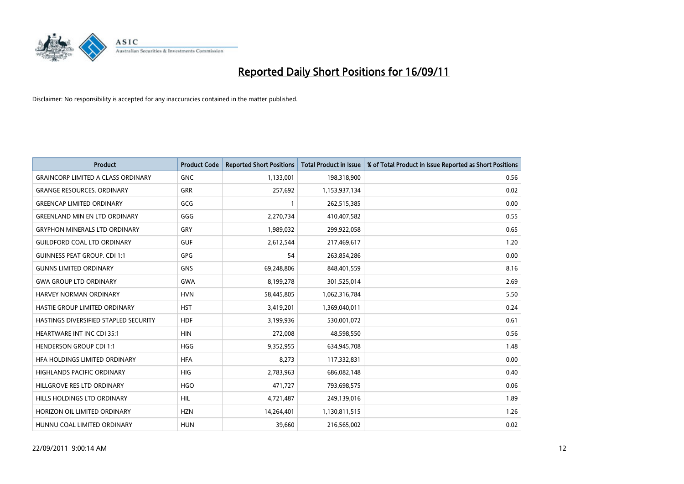

| <b>Product</b>                            | <b>Product Code</b> | <b>Reported Short Positions</b> | <b>Total Product in Issue</b> | % of Total Product in Issue Reported as Short Positions |
|-------------------------------------------|---------------------|---------------------------------|-------------------------------|---------------------------------------------------------|
| <b>GRAINCORP LIMITED A CLASS ORDINARY</b> | <b>GNC</b>          | 1,133,001                       | 198,318,900                   | 0.56                                                    |
| <b>GRANGE RESOURCES. ORDINARY</b>         | <b>GRR</b>          | 257,692                         | 1,153,937,134                 | 0.02                                                    |
| <b>GREENCAP LIMITED ORDINARY</b>          | GCG                 |                                 | 262,515,385                   | 0.00                                                    |
| <b>GREENLAND MIN EN LTD ORDINARY</b>      | GGG                 | 2,270,734                       | 410,407,582                   | 0.55                                                    |
| <b>GRYPHON MINERALS LTD ORDINARY</b>      | GRY                 | 1,989,032                       | 299,922,058                   | 0.65                                                    |
| <b>GUILDFORD COAL LTD ORDINARY</b>        | <b>GUF</b>          | 2,612,544                       | 217,469,617                   | 1.20                                                    |
| <b>GUINNESS PEAT GROUP. CDI 1:1</b>       | <b>GPG</b>          | 54                              | 263,854,286                   | 0.00                                                    |
| <b>GUNNS LIMITED ORDINARY</b>             | <b>GNS</b>          | 69,248,806                      | 848,401,559                   | 8.16                                                    |
| <b>GWA GROUP LTD ORDINARY</b>             | <b>GWA</b>          | 8,199,278                       | 301,525,014                   | 2.69                                                    |
| <b>HARVEY NORMAN ORDINARY</b>             | <b>HVN</b>          | 58,445,805                      | 1,062,316,784                 | 5.50                                                    |
| HASTIE GROUP LIMITED ORDINARY             | <b>HST</b>          | 3,419,201                       | 1,369,040,011                 | 0.24                                                    |
| HASTINGS DIVERSIFIED STAPLED SECURITY     | <b>HDF</b>          | 3,199,936                       | 530,001,072                   | 0.61                                                    |
| <b>HEARTWARE INT INC CDI 35:1</b>         | <b>HIN</b>          | 272,008                         | 48,598,550                    | 0.56                                                    |
| <b>HENDERSON GROUP CDI 1:1</b>            | <b>HGG</b>          | 9,352,955                       | 634,945,708                   | 1.48                                                    |
| HEA HOLDINGS LIMITED ORDINARY             | <b>HFA</b>          | 8,273                           | 117,332,831                   | 0.00                                                    |
| <b>HIGHLANDS PACIFIC ORDINARY</b>         | <b>HIG</b>          | 2,783,963                       | 686,082,148                   | 0.40                                                    |
| HILLGROVE RES LTD ORDINARY                | <b>HGO</b>          | 471,727                         | 793,698,575                   | 0.06                                                    |
| HILLS HOLDINGS LTD ORDINARY               | <b>HIL</b>          | 4,721,487                       | 249,139,016                   | 1.89                                                    |
| HORIZON OIL LIMITED ORDINARY              | <b>HZN</b>          | 14,264,401                      | 1,130,811,515                 | 1.26                                                    |
| HUNNU COAL LIMITED ORDINARY               | <b>HUN</b>          | 39,660                          | 216,565,002                   | 0.02                                                    |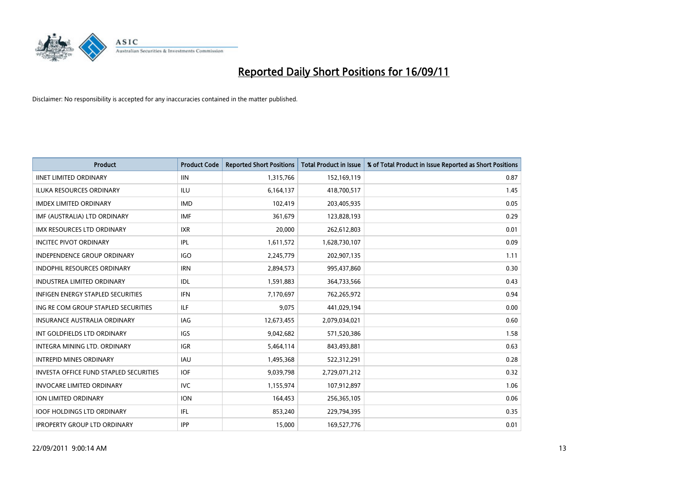

| <b>Product</b>                                | <b>Product Code</b> | <b>Reported Short Positions</b> | <b>Total Product in Issue</b> | % of Total Product in Issue Reported as Short Positions |
|-----------------------------------------------|---------------------|---------------------------------|-------------------------------|---------------------------------------------------------|
| <b>IINET LIMITED ORDINARY</b>                 | <b>IIN</b>          | 1,315,766                       | 152,169,119                   | 0.87                                                    |
| ILUKA RESOURCES ORDINARY                      | ILU                 | 6,164,137                       | 418,700,517                   | 1.45                                                    |
| <b>IMDEX LIMITED ORDINARY</b>                 | <b>IMD</b>          | 102,419                         | 203,405,935                   | 0.05                                                    |
| IMF (AUSTRALIA) LTD ORDINARY                  | <b>IMF</b>          | 361,679                         | 123,828,193                   | 0.29                                                    |
| <b>IMX RESOURCES LTD ORDINARY</b>             | <b>IXR</b>          | 20,000                          | 262,612,803                   | 0.01                                                    |
| <b>INCITEC PIVOT ORDINARY</b>                 | <b>IPL</b>          | 1,611,572                       | 1,628,730,107                 | 0.09                                                    |
| <b>INDEPENDENCE GROUP ORDINARY</b>            | <b>IGO</b>          | 2,245,779                       | 202,907,135                   | 1.11                                                    |
| INDOPHIL RESOURCES ORDINARY                   | <b>IRN</b>          | 2,894,573                       | 995,437,860                   | 0.30                                                    |
| INDUSTREA LIMITED ORDINARY                    | <b>IDL</b>          | 1,591,883                       | 364,733,566                   | 0.43                                                    |
| <b>INFIGEN ENERGY STAPLED SECURITIES</b>      | <b>IFN</b>          | 7,170,697                       | 762,265,972                   | 0.94                                                    |
| ING RE COM GROUP STAPLED SECURITIES           | <b>ILF</b>          | 9,075                           | 441,029,194                   | 0.00                                                    |
| <b>INSURANCE AUSTRALIA ORDINARY</b>           | IAG                 | 12,673,455                      | 2,079,034,021                 | 0.60                                                    |
| INT GOLDFIELDS LTD ORDINARY                   | <b>IGS</b>          | 9,042,682                       | 571,520,386                   | 1.58                                                    |
| <b>INTEGRA MINING LTD, ORDINARY</b>           | <b>IGR</b>          | 5,464,114                       | 843,493,881                   | 0.63                                                    |
| <b>INTREPID MINES ORDINARY</b>                | <b>IAU</b>          | 1,495,368                       | 522,312,291                   | 0.28                                                    |
| <b>INVESTA OFFICE FUND STAPLED SECURITIES</b> | <b>IOF</b>          | 9,039,798                       | 2,729,071,212                 | 0.32                                                    |
| <b>INVOCARE LIMITED ORDINARY</b>              | <b>IVC</b>          | 1,155,974                       | 107,912,897                   | 1.06                                                    |
| ION LIMITED ORDINARY                          | <b>ION</b>          | 164,453                         | 256,365,105                   | 0.06                                                    |
| <b>IOOF HOLDINGS LTD ORDINARY</b>             | IFL.                | 853,240                         | 229,794,395                   | 0.35                                                    |
| <b>IPROPERTY GROUP LTD ORDINARY</b>           | <b>IPP</b>          | 15,000                          | 169,527,776                   | 0.01                                                    |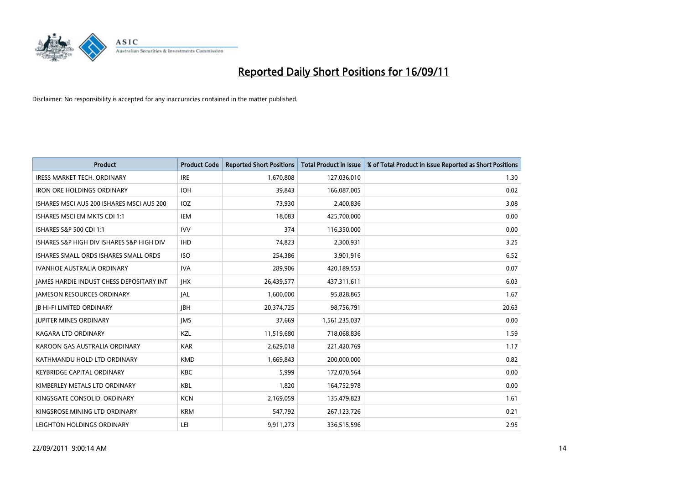

| <b>Product</b>                                  | <b>Product Code</b> | <b>Reported Short Positions</b> | Total Product in Issue | % of Total Product in Issue Reported as Short Positions |
|-------------------------------------------------|---------------------|---------------------------------|------------------------|---------------------------------------------------------|
| <b>IRESS MARKET TECH. ORDINARY</b>              | <b>IRE</b>          | 1,670,808                       | 127,036,010            | 1.30                                                    |
| <b>IRON ORE HOLDINGS ORDINARY</b>               | <b>IOH</b>          | 39,843                          | 166,087,005            | 0.02                                                    |
| ISHARES MSCI AUS 200 ISHARES MSCI AUS 200       | IOZ                 | 73,930                          | 2,400,836              | 3.08                                                    |
| ISHARES MSCI EM MKTS CDI 1:1                    | IEM                 | 18,083                          | 425,700,000            | 0.00                                                    |
| ISHARES S&P 500 CDI 1:1                         | <b>IVV</b>          | 374                             | 116,350,000            | 0.00                                                    |
| ISHARES S&P HIGH DIV ISHARES S&P HIGH DIV       | <b>IHD</b>          | 74,823                          | 2,300,931              | 3.25                                                    |
| ISHARES SMALL ORDS ISHARES SMALL ORDS           | <b>ISO</b>          | 254,386                         | 3,901,916              | 6.52                                                    |
| IVANHOE AUSTRALIA ORDINARY                      | <b>IVA</b>          | 289,906                         | 420,189,553            | 0.07                                                    |
| <b>JAMES HARDIE INDUST CHESS DEPOSITARY INT</b> | <b>IHX</b>          | 26,439,577                      | 437,311,611            | 6.03                                                    |
| <b>JAMESON RESOURCES ORDINARY</b>               | JAL                 | 1,600,000                       | 95,828,865             | 1.67                                                    |
| <b>IB HI-FI LIMITED ORDINARY</b>                | <b>IBH</b>          | 20,374,725                      | 98,756,791             | 20.63                                                   |
| <b>JUPITER MINES ORDINARY</b>                   | <b>IMS</b>          | 37,669                          | 1,561,235,037          | 0.00                                                    |
| <b>KAGARA LTD ORDINARY</b>                      | KZL                 | 11,519,680                      | 718,068,836            | 1.59                                                    |
| KAROON GAS AUSTRALIA ORDINARY                   | <b>KAR</b>          | 2,629,018                       | 221,420,769            | 1.17                                                    |
| KATHMANDU HOLD LTD ORDINARY                     | <b>KMD</b>          | 1,669,843                       | 200,000,000            | 0.82                                                    |
| <b>KEYBRIDGE CAPITAL ORDINARY</b>               | <b>KBC</b>          | 5,999                           | 172,070,564            | 0.00                                                    |
| KIMBERLEY METALS LTD ORDINARY                   | KBL                 | 1,820                           | 164,752,978            | 0.00                                                    |
| KINGSGATE CONSOLID, ORDINARY                    | <b>KCN</b>          | 2,169,059                       | 135,479,823            | 1.61                                                    |
| KINGSROSE MINING LTD ORDINARY                   | <b>KRM</b>          | 547,792                         | 267,123,726            | 0.21                                                    |
| LEIGHTON HOLDINGS ORDINARY                      | LEI                 | 9,911,273                       | 336,515,596            | 2.95                                                    |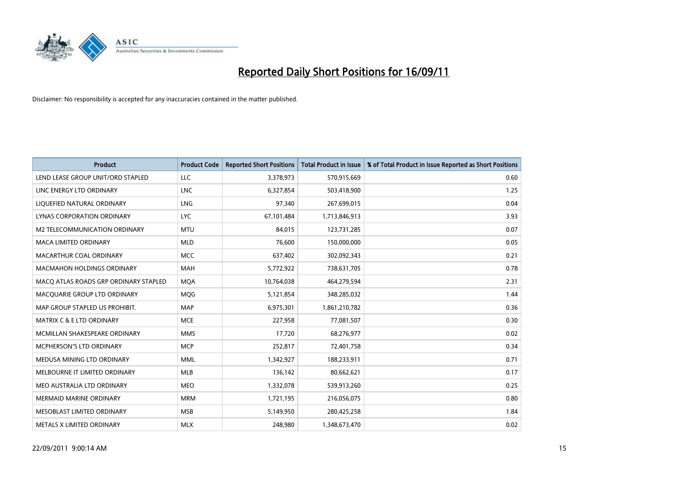

| <b>Product</b>                        | <b>Product Code</b> | <b>Reported Short Positions</b> | Total Product in Issue | % of Total Product in Issue Reported as Short Positions |
|---------------------------------------|---------------------|---------------------------------|------------------------|---------------------------------------------------------|
| LEND LEASE GROUP UNIT/ORD STAPLED     | <b>LLC</b>          | 3,378,973                       | 570,915,669            | 0.60                                                    |
| LINC ENERGY LTD ORDINARY              | <b>LNC</b>          | 6,327,854                       | 503,418,900            | 1.25                                                    |
| LIQUEFIED NATURAL ORDINARY            | <b>LNG</b>          | 97,340                          | 267,699,015            | 0.04                                                    |
| LYNAS CORPORATION ORDINARY            | <b>LYC</b>          | 67,101,484                      | 1,713,846,913          | 3.93                                                    |
| M2 TELECOMMUNICATION ORDINARY         | <b>MTU</b>          | 84,015                          | 123,731,285            | 0.07                                                    |
| <b>MACA LIMITED ORDINARY</b>          | <b>MLD</b>          | 76.600                          | 150,000,000            | 0.05                                                    |
| MACARTHUR COAL ORDINARY               | <b>MCC</b>          | 637,402                         | 302,092,343            | 0.21                                                    |
| <b>MACMAHON HOLDINGS ORDINARY</b>     | <b>MAH</b>          | 5,772,922                       | 738,631,705            | 0.78                                                    |
| MACO ATLAS ROADS GRP ORDINARY STAPLED | <b>MOA</b>          | 10,764,038                      | 464,279,594            | 2.31                                                    |
| MACQUARIE GROUP LTD ORDINARY          | MQG                 | 5,121,854                       | 348,285,032            | 1.44                                                    |
| MAP GROUP STAPLED US PROHIBIT.        | <b>MAP</b>          | 6,975,301                       | 1,861,210,782          | 0.36                                                    |
| MATRIX C & E LTD ORDINARY             | <b>MCE</b>          | 227,958                         | 77,081,507             | 0.30                                                    |
| MCMILLAN SHAKESPEARE ORDINARY         | <b>MMS</b>          | 17.720                          | 68,276,977             | 0.02                                                    |
| <b>MCPHERSON'S LTD ORDINARY</b>       | <b>MCP</b>          | 252,817                         | 72,401,758             | 0.34                                                    |
| MEDUSA MINING LTD ORDINARY            | <b>MML</b>          | 1,342,927                       | 188,233,911            | 0.71                                                    |
| MELBOURNE IT LIMITED ORDINARY         | <b>MLB</b>          | 136,142                         | 80,662,621             | 0.17                                                    |
| MEO AUSTRALIA LTD ORDINARY            | <b>MEO</b>          | 1,332,078                       | 539,913,260            | 0.25                                                    |
| MERMAID MARINE ORDINARY               | <b>MRM</b>          | 1,721,195                       | 216,056,075            | 0.80                                                    |
| MESOBLAST LIMITED ORDINARY            | <b>MSB</b>          | 5,149,950                       | 280,425,258            | 1.84                                                    |
| METALS X LIMITED ORDINARY             | <b>MLX</b>          | 248,980                         | 1,348,673,470          | 0.02                                                    |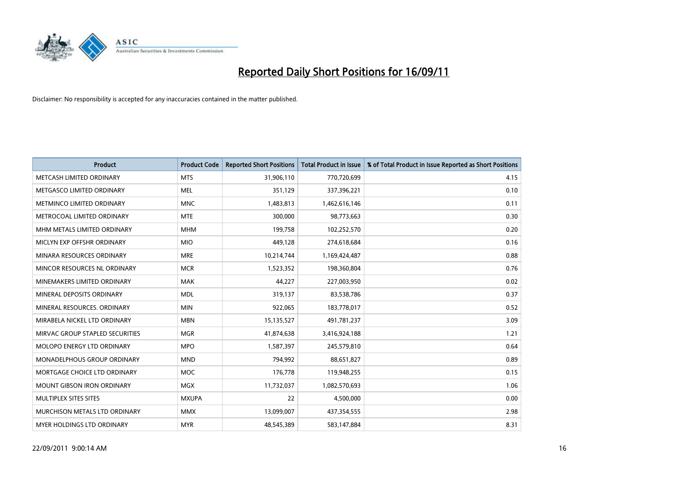

| <b>Product</b>                  | <b>Product Code</b> | <b>Reported Short Positions</b> | <b>Total Product in Issue</b> | % of Total Product in Issue Reported as Short Positions |
|---------------------------------|---------------------|---------------------------------|-------------------------------|---------------------------------------------------------|
| METCASH LIMITED ORDINARY        | <b>MTS</b>          | 31,906,110                      | 770,720,699                   | 4.15                                                    |
| METGASCO LIMITED ORDINARY       | <b>MEL</b>          | 351,129                         | 337,396,221                   | 0.10                                                    |
| METMINCO LIMITED ORDINARY       | <b>MNC</b>          | 1,483,813                       | 1,462,616,146                 | 0.11                                                    |
| METROCOAL LIMITED ORDINARY      | <b>MTE</b>          | 300,000                         | 98,773,663                    | 0.30                                                    |
| MHM METALS LIMITED ORDINARY     | <b>MHM</b>          | 199,758                         | 102,252,570                   | 0.20                                                    |
| MICLYN EXP OFFSHR ORDINARY      | <b>MIO</b>          | 449,128                         | 274,618,684                   | 0.16                                                    |
| MINARA RESOURCES ORDINARY       | <b>MRE</b>          | 10,214,744                      | 1,169,424,487                 | 0.88                                                    |
| MINCOR RESOURCES NL ORDINARY    | <b>MCR</b>          | 1,523,352                       | 198,360,804                   | 0.76                                                    |
| MINEMAKERS LIMITED ORDINARY     | <b>MAK</b>          | 44,227                          | 227,003,950                   | 0.02                                                    |
| MINERAL DEPOSITS ORDINARY       | <b>MDL</b>          | 319,137                         | 83,538,786                    | 0.37                                                    |
| MINERAL RESOURCES. ORDINARY     | <b>MIN</b>          | 922,065                         | 183,778,017                   | 0.52                                                    |
| MIRABELA NICKEL LTD ORDINARY    | <b>MBN</b>          | 15,135,527                      | 491,781,237                   | 3.09                                                    |
| MIRVAC GROUP STAPLED SECURITIES | <b>MGR</b>          | 41,874,638                      | 3,416,924,188                 | 1.21                                                    |
| MOLOPO ENERGY LTD ORDINARY      | <b>MPO</b>          | 1,587,397                       | 245,579,810                   | 0.64                                                    |
| MONADELPHOUS GROUP ORDINARY     | <b>MND</b>          | 794.992                         | 88,651,827                    | 0.89                                                    |
| MORTGAGE CHOICE LTD ORDINARY    | <b>MOC</b>          | 176,778                         | 119,948,255                   | 0.15                                                    |
| MOUNT GIBSON IRON ORDINARY      | MGX                 | 11,732,037                      | 1,082,570,693                 | 1.06                                                    |
| MULTIPLEX SITES SITES           | <b>MXUPA</b>        | 22                              | 4,500,000                     | 0.00                                                    |
| MURCHISON METALS LTD ORDINARY   | <b>MMX</b>          | 13,099,007                      | 437,354,555                   | 2.98                                                    |
| MYER HOLDINGS LTD ORDINARY      | <b>MYR</b>          | 48,545,389                      | 583,147,884                   | 8.31                                                    |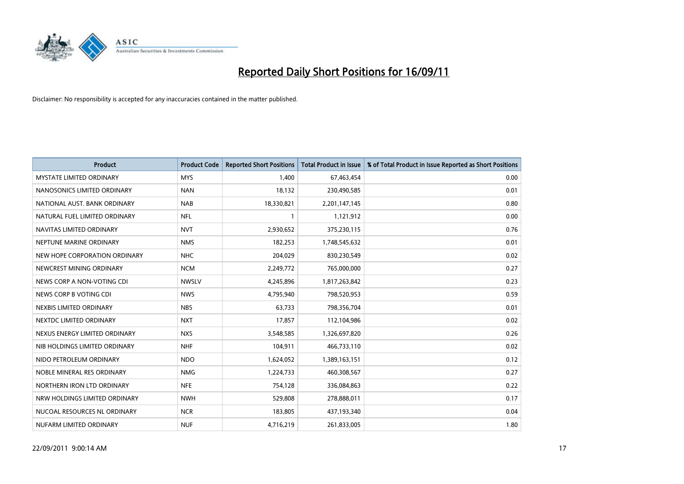

| <b>Product</b>                  | <b>Product Code</b> | <b>Reported Short Positions</b> | Total Product in Issue | % of Total Product in Issue Reported as Short Positions |
|---------------------------------|---------------------|---------------------------------|------------------------|---------------------------------------------------------|
| <b>MYSTATE LIMITED ORDINARY</b> | <b>MYS</b>          | 1,400                           | 67,463,454             | 0.00                                                    |
| NANOSONICS LIMITED ORDINARY     | <b>NAN</b>          | 18,132                          | 230,490,585            | 0.01                                                    |
| NATIONAL AUST, BANK ORDINARY    | <b>NAB</b>          | 18,330,821                      | 2,201,147,145          | 0.80                                                    |
| NATURAL FUEL LIMITED ORDINARY   | <b>NFL</b>          |                                 | 1,121,912              | 0.00                                                    |
| NAVITAS LIMITED ORDINARY        | <b>NVT</b>          | 2,930,652                       | 375,230,115            | 0.76                                                    |
| NEPTUNE MARINE ORDINARY         | <b>NMS</b>          | 182,253                         | 1,748,545,632          | 0.01                                                    |
| NEW HOPE CORPORATION ORDINARY   | <b>NHC</b>          | 204,029                         | 830,230,549            | 0.02                                                    |
| NEWCREST MINING ORDINARY        | <b>NCM</b>          | 2,249,772                       | 765,000,000            | 0.27                                                    |
| NEWS CORP A NON-VOTING CDI      | <b>NWSLV</b>        | 4,245,896                       | 1,817,263,842          | 0.23                                                    |
| NEWS CORP B VOTING CDI          | <b>NWS</b>          | 4,795,940                       | 798,520,953            | 0.59                                                    |
| NEXBIS LIMITED ORDINARY         | <b>NBS</b>          | 63,733                          | 798,356,704            | 0.01                                                    |
| NEXTDC LIMITED ORDINARY         | <b>NXT</b>          | 17,857                          | 112,104,986            | 0.02                                                    |
| NEXUS ENERGY LIMITED ORDINARY   | <b>NXS</b>          | 3,548,585                       | 1,326,697,820          | 0.26                                                    |
| NIB HOLDINGS LIMITED ORDINARY   | <b>NHF</b>          | 104,911                         | 466,733,110            | 0.02                                                    |
| NIDO PETROLEUM ORDINARY         | <b>NDO</b>          | 1,624,052                       | 1,389,163,151          | 0.12                                                    |
| NOBLE MINERAL RES ORDINARY      | <b>NMG</b>          | 1,224,733                       | 460,308,567            | 0.27                                                    |
| NORTHERN IRON LTD ORDINARY      | <b>NFE</b>          | 754,128                         | 336,084,863            | 0.22                                                    |
| NRW HOLDINGS LIMITED ORDINARY   | <b>NWH</b>          | 529,808                         | 278,888,011            | 0.17                                                    |
| NUCOAL RESOURCES NL ORDINARY    | <b>NCR</b>          | 183,805                         | 437,193,340            | 0.04                                                    |
| NUFARM LIMITED ORDINARY         | <b>NUF</b>          | 4,716,219                       | 261,833,005            | 1.80                                                    |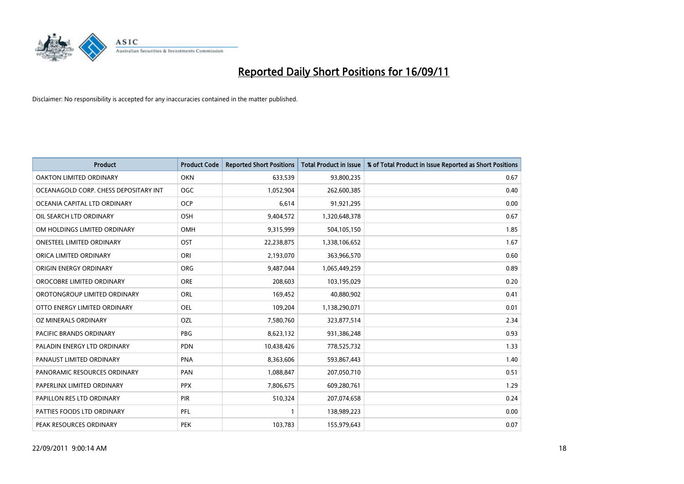

| <b>Product</b>                        | <b>Product Code</b> | <b>Reported Short Positions</b> | Total Product in Issue | % of Total Product in Issue Reported as Short Positions |
|---------------------------------------|---------------------|---------------------------------|------------------------|---------------------------------------------------------|
| OAKTON LIMITED ORDINARY               | <b>OKN</b>          | 633,539                         | 93,800,235             | 0.67                                                    |
| OCEANAGOLD CORP. CHESS DEPOSITARY INT | <b>OGC</b>          | 1,052,904                       | 262,600,385            | 0.40                                                    |
| OCEANIA CAPITAL LTD ORDINARY          | <b>OCP</b>          | 6,614                           | 91,921,295             | 0.00                                                    |
| OIL SEARCH LTD ORDINARY               | OSH                 | 9,404,572                       | 1,320,648,378          | 0.67                                                    |
| OM HOLDINGS LIMITED ORDINARY          | OMH                 | 9,315,999                       | 504,105,150            | 1.85                                                    |
| <b>ONESTEEL LIMITED ORDINARY</b>      | OST                 | 22,238,875                      | 1,338,106,652          | 1.67                                                    |
| ORICA LIMITED ORDINARY                | ORI                 | 2,193,070                       | 363,966,570            | 0.60                                                    |
| ORIGIN ENERGY ORDINARY                | <b>ORG</b>          | 9,487,044                       | 1,065,449,259          | 0.89                                                    |
| OROCOBRE LIMITED ORDINARY             | <b>ORE</b>          | 208,603                         | 103,195,029            | 0.20                                                    |
| OROTONGROUP LIMITED ORDINARY          | <b>ORL</b>          | 169,452                         | 40,880,902             | 0.41                                                    |
| OTTO ENERGY LIMITED ORDINARY          | <b>OEL</b>          | 109,204                         | 1,138,290,071          | 0.01                                                    |
| OZ MINERALS ORDINARY                  | OZL                 | 7,580,760                       | 323,877,514            | 2.34                                                    |
| PACIFIC BRANDS ORDINARY               | PBG                 | 8,623,132                       | 931,386,248            | 0.93                                                    |
| PALADIN ENERGY LTD ORDINARY           | <b>PDN</b>          | 10,438,426                      | 778,525,732            | 1.33                                                    |
| PANAUST LIMITED ORDINARY              | <b>PNA</b>          | 8,363,606                       | 593,867,443            | 1.40                                                    |
| PANORAMIC RESOURCES ORDINARY          | PAN                 | 1,088,847                       | 207,050,710            | 0.51                                                    |
| PAPERLINX LIMITED ORDINARY            | <b>PPX</b>          | 7,806,675                       | 609,280,761            | 1.29                                                    |
| PAPILLON RES LTD ORDINARY             | PIR                 | 510,324                         | 207,074,658            | 0.24                                                    |
| PATTIES FOODS LTD ORDINARY            | PFL                 |                                 | 138,989,223            | 0.00                                                    |
| PEAK RESOURCES ORDINARY               | <b>PEK</b>          | 103,783                         | 155,979,643            | 0.07                                                    |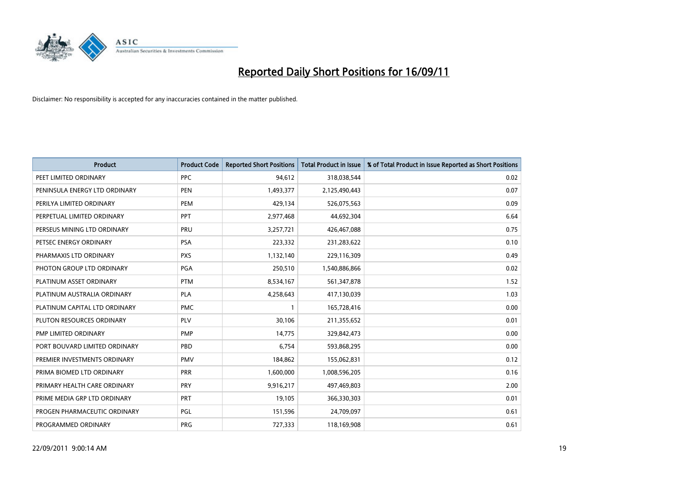

| <b>Product</b>                | <b>Product Code</b> | <b>Reported Short Positions</b> | <b>Total Product in Issue</b> | % of Total Product in Issue Reported as Short Positions |
|-------------------------------|---------------------|---------------------------------|-------------------------------|---------------------------------------------------------|
| PEET LIMITED ORDINARY         | <b>PPC</b>          | 94,612                          | 318,038,544                   | 0.02                                                    |
| PENINSULA ENERGY LTD ORDINARY | <b>PEN</b>          | 1,493,377                       | 2,125,490,443                 | 0.07                                                    |
| PERILYA LIMITED ORDINARY      | PEM                 | 429,134                         | 526,075,563                   | 0.09                                                    |
| PERPETUAL LIMITED ORDINARY    | PPT                 | 2,977,468                       | 44,692,304                    | 6.64                                                    |
| PERSEUS MINING LTD ORDINARY   | PRU                 | 3,257,721                       | 426,467,088                   | 0.75                                                    |
| PETSEC ENERGY ORDINARY        | <b>PSA</b>          | 223,332                         | 231,283,622                   | 0.10                                                    |
| PHARMAXIS LTD ORDINARY        | <b>PXS</b>          | 1,132,140                       | 229,116,309                   | 0.49                                                    |
| PHOTON GROUP LTD ORDINARY     | PGA                 | 250,510                         | 1,540,886,866                 | 0.02                                                    |
| PLATINUM ASSET ORDINARY       | <b>PTM</b>          | 8,534,167                       | 561,347,878                   | 1.52                                                    |
| PLATINUM AUSTRALIA ORDINARY   | <b>PLA</b>          | 4,258,643                       | 417,130,039                   | 1.03                                                    |
| PLATINUM CAPITAL LTD ORDINARY | <b>PMC</b>          |                                 | 165,728,416                   | 0.00                                                    |
| PLUTON RESOURCES ORDINARY     | <b>PLV</b>          | 30,106                          | 211,355,652                   | 0.01                                                    |
| PMP LIMITED ORDINARY          | <b>PMP</b>          | 14,775                          | 329,842,473                   | 0.00                                                    |
| PORT BOUVARD LIMITED ORDINARY | PBD                 | 6,754                           | 593,868,295                   | 0.00                                                    |
| PREMIER INVESTMENTS ORDINARY  | <b>PMV</b>          | 184,862                         | 155,062,831                   | 0.12                                                    |
| PRIMA BIOMED LTD ORDINARY     | <b>PRR</b>          | 1,600,000                       | 1,008,596,205                 | 0.16                                                    |
| PRIMARY HEALTH CARE ORDINARY  | PRY                 | 9,916,217                       | 497,469,803                   | 2.00                                                    |
| PRIME MEDIA GRP LTD ORDINARY  | <b>PRT</b>          | 19,105                          | 366,330,303                   | 0.01                                                    |
| PROGEN PHARMACEUTIC ORDINARY  | <b>PGL</b>          | 151,596                         | 24,709,097                    | 0.61                                                    |
| PROGRAMMED ORDINARY           | <b>PRG</b>          | 727,333                         | 118,169,908                   | 0.61                                                    |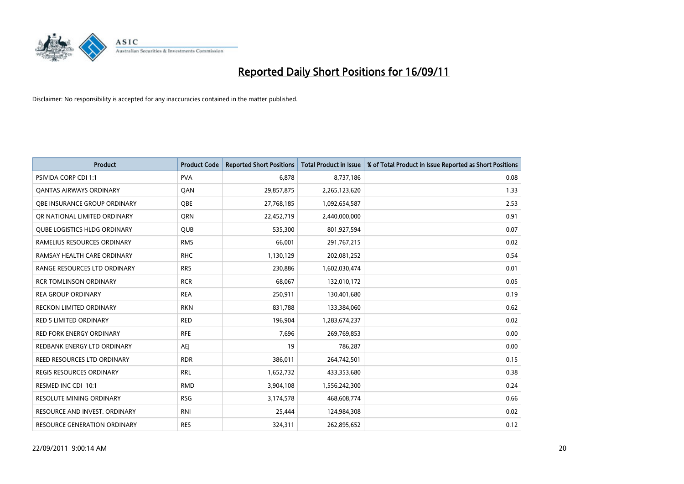

| <b>Product</b>                      | <b>Product Code</b> | <b>Reported Short Positions</b> | Total Product in Issue | % of Total Product in Issue Reported as Short Positions |
|-------------------------------------|---------------------|---------------------------------|------------------------|---------------------------------------------------------|
| <b>PSIVIDA CORP CDI 1:1</b>         | <b>PVA</b>          | 6,878                           | 8,737,186              | 0.08                                                    |
| <b>QANTAS AIRWAYS ORDINARY</b>      | QAN                 | 29,857,875                      | 2,265,123,620          | 1.33                                                    |
| QBE INSURANCE GROUP ORDINARY        | <b>OBE</b>          | 27,768,185                      | 1,092,654,587          | 2.53                                                    |
| OR NATIONAL LIMITED ORDINARY        | <b>ORN</b>          | 22,452,719                      | 2,440,000,000          | 0.91                                                    |
| <b>OUBE LOGISTICS HLDG ORDINARY</b> | <b>OUB</b>          | 535.300                         | 801,927,594            | 0.07                                                    |
| RAMELIUS RESOURCES ORDINARY         | <b>RMS</b>          | 66,001                          | 291,767,215            | 0.02                                                    |
| RAMSAY HEALTH CARE ORDINARY         | <b>RHC</b>          | 1,130,129                       | 202,081,252            | 0.54                                                    |
| <b>RANGE RESOURCES LTD ORDINARY</b> | <b>RRS</b>          | 230,886                         | 1,602,030,474          | 0.01                                                    |
| <b>RCR TOMLINSON ORDINARY</b>       | <b>RCR</b>          | 68,067                          | 132,010,172            | 0.05                                                    |
| <b>REA GROUP ORDINARY</b>           | <b>REA</b>          | 250,911                         | 130,401,680            | 0.19                                                    |
| <b>RECKON LIMITED ORDINARY</b>      | <b>RKN</b>          | 831,788                         | 133,384,060            | 0.62                                                    |
| <b>RED 5 LIMITED ORDINARY</b>       | <b>RED</b>          | 196,904                         | 1,283,674,237          | 0.02                                                    |
| <b>RED FORK ENERGY ORDINARY</b>     | <b>RFE</b>          | 7,696                           | 269,769,853            | 0.00                                                    |
| REDBANK ENERGY LTD ORDINARY         | <b>AEI</b>          | 19                              | 786,287                | 0.00                                                    |
| REED RESOURCES LTD ORDINARY         | <b>RDR</b>          | 386,011                         | 264,742,501            | 0.15                                                    |
| <b>REGIS RESOURCES ORDINARY</b>     | <b>RRL</b>          | 1,652,732                       | 433,353,680            | 0.38                                                    |
| RESMED INC CDI 10:1                 | <b>RMD</b>          | 3,904,108                       | 1,556,242,300          | 0.24                                                    |
| RESOLUTE MINING ORDINARY            | <b>RSG</b>          | 3,174,578                       | 468,608,774            | 0.66                                                    |
| RESOURCE AND INVEST. ORDINARY       | <b>RNI</b>          | 25,444                          | 124,984,308            | 0.02                                                    |
| <b>RESOURCE GENERATION ORDINARY</b> | <b>RES</b>          | 324,311                         | 262,895,652            | 0.12                                                    |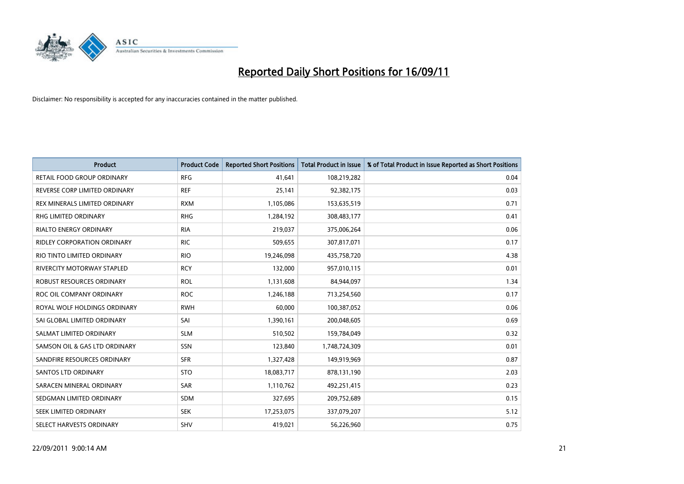

| <b>Product</b>                       | <b>Product Code</b> | <b>Reported Short Positions</b> | <b>Total Product in Issue</b> | % of Total Product in Issue Reported as Short Positions |
|--------------------------------------|---------------------|---------------------------------|-------------------------------|---------------------------------------------------------|
| RETAIL FOOD GROUP ORDINARY           | <b>RFG</b>          | 41.641                          | 108,219,282                   | 0.04                                                    |
| REVERSE CORP LIMITED ORDINARY        | <b>REF</b>          | 25,141                          | 92,382,175                    | 0.03                                                    |
| <b>REX MINERALS LIMITED ORDINARY</b> | <b>RXM</b>          | 1,105,086                       | 153,635,519                   | 0.71                                                    |
| <b>RHG LIMITED ORDINARY</b>          | <b>RHG</b>          | 1,284,192                       | 308,483,177                   | 0.41                                                    |
| <b>RIALTO ENERGY ORDINARY</b>        | <b>RIA</b>          | 219,037                         | 375,006,264                   | 0.06                                                    |
| <b>RIDLEY CORPORATION ORDINARY</b>   | <b>RIC</b>          | 509,655                         | 307,817,071                   | 0.17                                                    |
| RIO TINTO LIMITED ORDINARY           | <b>RIO</b>          | 19,246,098                      | 435,758,720                   | 4.38                                                    |
| RIVERCITY MOTORWAY STAPLED           | <b>RCY</b>          | 132.000                         | 957,010,115                   | 0.01                                                    |
| <b>ROBUST RESOURCES ORDINARY</b>     | <b>ROL</b>          | 1,131,608                       | 84,944,097                    | 1.34                                                    |
| ROC OIL COMPANY ORDINARY             | <b>ROC</b>          | 1,246,188                       | 713,254,560                   | 0.17                                                    |
| ROYAL WOLF HOLDINGS ORDINARY         | <b>RWH</b>          | 60,000                          | 100,387,052                   | 0.06                                                    |
| SAI GLOBAL LIMITED ORDINARY          | SAI                 | 1,390,161                       | 200,048,605                   | 0.69                                                    |
| SALMAT LIMITED ORDINARY              | <b>SLM</b>          | 510,502                         | 159,784,049                   | 0.32                                                    |
| SAMSON OIL & GAS LTD ORDINARY        | <b>SSN</b>          | 123,840                         | 1,748,724,309                 | 0.01                                                    |
| SANDFIRE RESOURCES ORDINARY          | <b>SFR</b>          | 1,327,428                       | 149,919,969                   | 0.87                                                    |
| SANTOS LTD ORDINARY                  | <b>STO</b>          | 18,083,717                      | 878,131,190                   | 2.03                                                    |
| SARACEN MINERAL ORDINARY             | <b>SAR</b>          | 1,110,762                       | 492,251,415                   | 0.23                                                    |
| SEDGMAN LIMITED ORDINARY             | <b>SDM</b>          | 327,695                         | 209,752,689                   | 0.15                                                    |
| SEEK LIMITED ORDINARY                | <b>SEK</b>          | 17,253,075                      | 337,079,207                   | 5.12                                                    |
| SELECT HARVESTS ORDINARY             | <b>SHV</b>          | 419,021                         | 56,226,960                    | 0.75                                                    |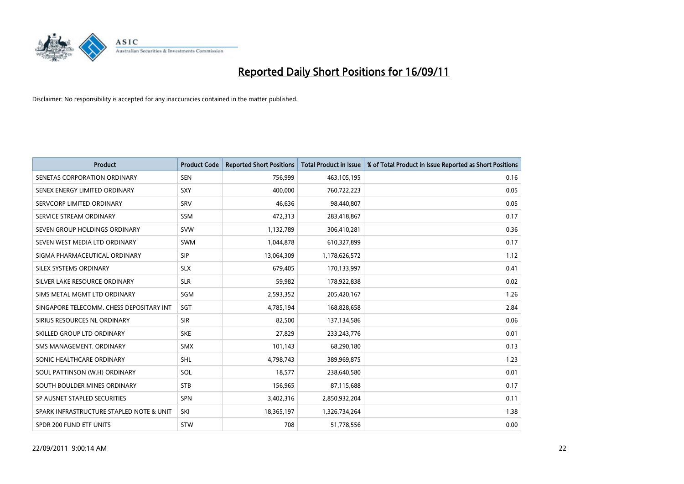

| <b>Product</b>                           | <b>Product Code</b> | <b>Reported Short Positions</b> | Total Product in Issue | % of Total Product in Issue Reported as Short Positions |
|------------------------------------------|---------------------|---------------------------------|------------------------|---------------------------------------------------------|
| SENETAS CORPORATION ORDINARY             | <b>SEN</b>          | 756,999                         | 463,105,195            | 0.16                                                    |
| SENEX ENERGY LIMITED ORDINARY            | SXY                 | 400,000                         | 760,722,223            | 0.05                                                    |
| SERVCORP LIMITED ORDINARY                | SRV                 | 46,636                          | 98,440,807             | 0.05                                                    |
| SERVICE STREAM ORDINARY                  | <b>SSM</b>          | 472,313                         | 283,418,867            | 0.17                                                    |
| SEVEN GROUP HOLDINGS ORDINARY            | <b>SVW</b>          | 1,132,789                       | 306,410,281            | 0.36                                                    |
| SEVEN WEST MEDIA LTD ORDINARY            | <b>SWM</b>          | 1,044,878                       | 610,327,899            | 0.17                                                    |
| SIGMA PHARMACEUTICAL ORDINARY            | <b>SIP</b>          | 13,064,309                      | 1,178,626,572          | 1.12                                                    |
| SILEX SYSTEMS ORDINARY                   | <b>SLX</b>          | 679,405                         | 170,133,997            | 0.41                                                    |
| SILVER LAKE RESOURCE ORDINARY            | <b>SLR</b>          | 59,982                          | 178,922,838            | 0.02                                                    |
| SIMS METAL MGMT LTD ORDINARY             | SGM                 | 2,593,352                       | 205,420,167            | 1.26                                                    |
| SINGAPORE TELECOMM. CHESS DEPOSITARY INT | SGT                 | 4,785,194                       | 168,828,658            | 2.84                                                    |
| SIRIUS RESOURCES NL ORDINARY             | <b>SIR</b>          | 82,500                          | 137,134,586            | 0.06                                                    |
| SKILLED GROUP LTD ORDINARY               | <b>SKE</b>          | 27,829                          | 233, 243, 776          | 0.01                                                    |
| SMS MANAGEMENT, ORDINARY                 | <b>SMX</b>          | 101,143                         | 68,290,180             | 0.13                                                    |
| SONIC HEALTHCARE ORDINARY                | <b>SHL</b>          | 4,798,743                       | 389,969,875            | 1.23                                                    |
| SOUL PATTINSON (W.H) ORDINARY            | SOL                 | 18,577                          | 238,640,580            | 0.01                                                    |
| SOUTH BOULDER MINES ORDINARY             | <b>STB</b>          | 156,965                         | 87,115,688             | 0.17                                                    |
| SP AUSNET STAPLED SECURITIES             | <b>SPN</b>          | 3,402,316                       | 2,850,932,204          | 0.11                                                    |
| SPARK INFRASTRUCTURE STAPLED NOTE & UNIT | SKI                 | 18,365,197                      | 1,326,734,264          | 1.38                                                    |
| SPDR 200 FUND ETF UNITS                  | <b>STW</b>          | 708                             | 51,778,556             | 0.00                                                    |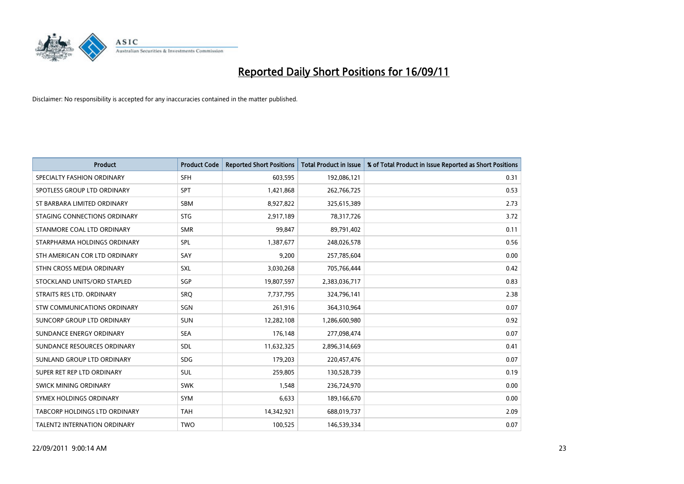

| <b>Product</b>                | <b>Product Code</b> | <b>Reported Short Positions</b> | Total Product in Issue | % of Total Product in Issue Reported as Short Positions |
|-------------------------------|---------------------|---------------------------------|------------------------|---------------------------------------------------------|
| SPECIALTY FASHION ORDINARY    | <b>SFH</b>          | 603,595                         | 192,086,121            | 0.31                                                    |
| SPOTLESS GROUP LTD ORDINARY   | <b>SPT</b>          | 1,421,868                       | 262,766,725            | 0.53                                                    |
| ST BARBARA LIMITED ORDINARY   | <b>SBM</b>          | 8,927,822                       | 325,615,389            | 2.73                                                    |
| STAGING CONNECTIONS ORDINARY  | <b>STG</b>          | 2,917,189                       | 78,317,726             | 3.72                                                    |
| STANMORE COAL LTD ORDINARY    | <b>SMR</b>          | 99,847                          | 89,791,402             | 0.11                                                    |
| STARPHARMA HOLDINGS ORDINARY  | SPL                 | 1,387,677                       | 248,026,578            | 0.56                                                    |
| STH AMERICAN COR LTD ORDINARY | SAY                 | 9,200                           | 257,785,604            | 0.00                                                    |
| STHN CROSS MEDIA ORDINARY     | <b>SXL</b>          | 3,030,268                       | 705,766,444            | 0.42                                                    |
| STOCKLAND UNITS/ORD STAPLED   | SGP                 | 19,807,597                      | 2,383,036,717          | 0.83                                                    |
| STRAITS RES LTD. ORDINARY     | SRO                 | 7,737,795                       | 324,796,141            | 2.38                                                    |
| STW COMMUNICATIONS ORDINARY   | SGN                 | 261,916                         | 364,310,964            | 0.07                                                    |
| SUNCORP GROUP LTD ORDINARY    | <b>SUN</b>          | 12,282,108                      | 1,286,600,980          | 0.92                                                    |
| SUNDANCE ENERGY ORDINARY      | <b>SEA</b>          | 176,148                         | 277,098,474            | 0.07                                                    |
| SUNDANCE RESOURCES ORDINARY   | <b>SDL</b>          | 11,632,325                      | 2,896,314,669          | 0.41                                                    |
| SUNLAND GROUP LTD ORDINARY    | <b>SDG</b>          | 179,203                         | 220,457,476            | 0.07                                                    |
| SUPER RET REP LTD ORDINARY    | <b>SUL</b>          | 259.805                         | 130,528,739            | 0.19                                                    |
| SWICK MINING ORDINARY         | <b>SWK</b>          | 1,548                           | 236,724,970            | 0.00                                                    |
| SYMEX HOLDINGS ORDINARY       | <b>SYM</b>          | 6,633                           | 189,166,670            | 0.00                                                    |
| TABCORP HOLDINGS LTD ORDINARY | <b>TAH</b>          | 14,342,921                      | 688,019,737            | 2.09                                                    |
| TALENT2 INTERNATION ORDINARY  | <b>TWO</b>          | 100,525                         | 146,539,334            | 0.07                                                    |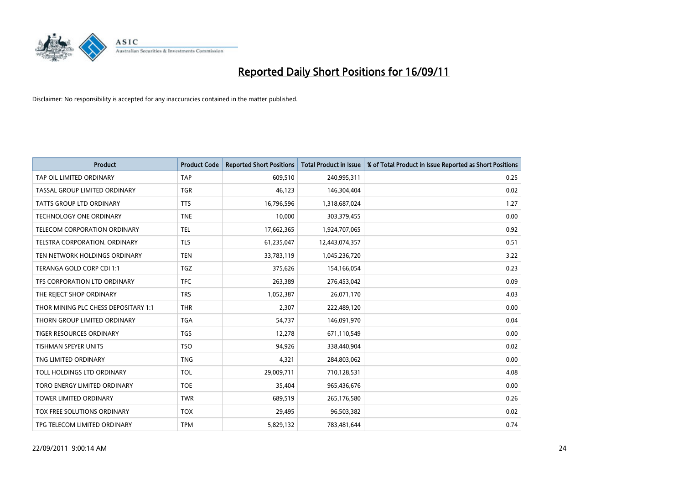

| <b>Product</b>                       | <b>Product Code</b> | <b>Reported Short Positions</b> | Total Product in Issue | % of Total Product in Issue Reported as Short Positions |
|--------------------------------------|---------------------|---------------------------------|------------------------|---------------------------------------------------------|
| TAP OIL LIMITED ORDINARY             | <b>TAP</b>          | 609,510                         | 240,995,311            | 0.25                                                    |
| TASSAL GROUP LIMITED ORDINARY        | <b>TGR</b>          | 46,123                          | 146,304,404            | 0.02                                                    |
| <b>TATTS GROUP LTD ORDINARY</b>      | <b>TTS</b>          | 16,796,596                      | 1,318,687,024          | 1.27                                                    |
| TECHNOLOGY ONE ORDINARY              | <b>TNE</b>          | 10,000                          | 303,379,455            | 0.00                                                    |
| TELECOM CORPORATION ORDINARY         | <b>TEL</b>          | 17,662,365                      | 1,924,707,065          | 0.92                                                    |
| TELSTRA CORPORATION, ORDINARY        | <b>TLS</b>          | 61,235,047                      | 12,443,074,357         | 0.51                                                    |
| TEN NETWORK HOLDINGS ORDINARY        | <b>TEN</b>          | 33,783,119                      | 1,045,236,720          | 3.22                                                    |
| TERANGA GOLD CORP CDI 1:1            | <b>TGZ</b>          | 375,626                         | 154,166,054            | 0.23                                                    |
| TFS CORPORATION LTD ORDINARY         | <b>TFC</b>          | 263,389                         | 276,453,042            | 0.09                                                    |
| THE REJECT SHOP ORDINARY             | <b>TRS</b>          | 1,052,387                       | 26,071,170             | 4.03                                                    |
| THOR MINING PLC CHESS DEPOSITARY 1:1 | <b>THR</b>          | 2,307                           | 222,489,120            | 0.00                                                    |
| THORN GROUP LIMITED ORDINARY         | <b>TGA</b>          | 54,737                          | 146,091,970            | 0.04                                                    |
| <b>TIGER RESOURCES ORDINARY</b>      | <b>TGS</b>          | 12.278                          | 671,110,549            | 0.00                                                    |
| <b>TISHMAN SPEYER UNITS</b>          | <b>TSO</b>          | 94,926                          | 338,440,904            | 0.02                                                    |
| TNG LIMITED ORDINARY                 | <b>TNG</b>          | 4,321                           | 284,803,062            | 0.00                                                    |
| TOLL HOLDINGS LTD ORDINARY           | <b>TOL</b>          | 29,009,711                      | 710,128,531            | 4.08                                                    |
| TORO ENERGY LIMITED ORDINARY         | <b>TOE</b>          | 35,404                          | 965,436,676            | 0.00                                                    |
| TOWER LIMITED ORDINARY               | <b>TWR</b>          | 689,519                         | 265,176,580            | 0.26                                                    |
| <b>TOX FREE SOLUTIONS ORDINARY</b>   | <b>TOX</b>          | 29,495                          | 96,503,382             | 0.02                                                    |
| TPG TELECOM LIMITED ORDINARY         | <b>TPM</b>          | 5,829,132                       | 783,481,644            | 0.74                                                    |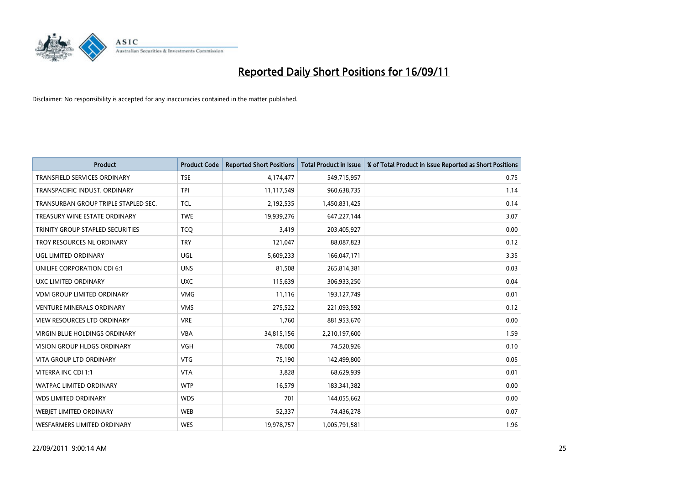

| <b>Product</b>                          | <b>Product Code</b> | <b>Reported Short Positions</b> | <b>Total Product in Issue</b> | % of Total Product in Issue Reported as Short Positions |
|-----------------------------------------|---------------------|---------------------------------|-------------------------------|---------------------------------------------------------|
| <b>TRANSFIELD SERVICES ORDINARY</b>     | <b>TSE</b>          | 4,174,477                       | 549,715,957                   | 0.75                                                    |
| TRANSPACIFIC INDUST. ORDINARY           | <b>TPI</b>          | 11,117,549                      | 960,638,735                   | 1.14                                                    |
| TRANSURBAN GROUP TRIPLE STAPLED SEC.    | <b>TCL</b>          | 2,192,535                       | 1,450,831,425                 | 0.14                                                    |
| TREASURY WINE ESTATE ORDINARY           | <b>TWE</b>          | 19,939,276                      | 647,227,144                   | 3.07                                                    |
| <b>TRINITY GROUP STAPLED SECURITIES</b> | <b>TCO</b>          | 3,419                           | 203,405,927                   | 0.00                                                    |
| TROY RESOURCES NL ORDINARY              | <b>TRY</b>          | 121,047                         | 88,087,823                    | 0.12                                                    |
| UGL LIMITED ORDINARY                    | UGL                 | 5,609,233                       | 166,047,171                   | 3.35                                                    |
| UNILIFE CORPORATION CDI 6:1             | <b>UNS</b>          | 81,508                          | 265,814,381                   | 0.03                                                    |
| UXC LIMITED ORDINARY                    | <b>UXC</b>          | 115,639                         | 306,933,250                   | 0.04                                                    |
| <b>VDM GROUP LIMITED ORDINARY</b>       | <b>VMG</b>          | 11,116                          | 193,127,749                   | 0.01                                                    |
| <b>VENTURE MINERALS ORDINARY</b>        | <b>VMS</b>          | 275,522                         | 221,093,592                   | 0.12                                                    |
| <b>VIEW RESOURCES LTD ORDINARY</b>      | <b>VRE</b>          | 1,760                           | 881,953,670                   | 0.00                                                    |
| <b>VIRGIN BLUE HOLDINGS ORDINARY</b>    | <b>VBA</b>          | 34,815,156                      | 2,210,197,600                 | 1.59                                                    |
| <b>VISION GROUP HLDGS ORDINARY</b>      | <b>VGH</b>          | 78.000                          | 74,520,926                    | 0.10                                                    |
| <b>VITA GROUP LTD ORDINARY</b>          | <b>VTG</b>          | 75,190                          | 142,499,800                   | 0.05                                                    |
| VITERRA INC CDI 1:1                     | <b>VTA</b>          | 3.828                           | 68,629,939                    | 0.01                                                    |
| <b>WATPAC LIMITED ORDINARY</b>          | <b>WTP</b>          | 16,579                          | 183,341,382                   | 0.00                                                    |
| <b>WDS LIMITED ORDINARY</b>             | <b>WDS</b>          | 701                             | 144,055,662                   | 0.00                                                    |
| WEBJET LIMITED ORDINARY                 | <b>WEB</b>          | 52,337                          | 74,436,278                    | 0.07                                                    |
| WESFARMERS LIMITED ORDINARY             | <b>WES</b>          | 19,978,757                      | 1,005,791,581                 | 1.96                                                    |